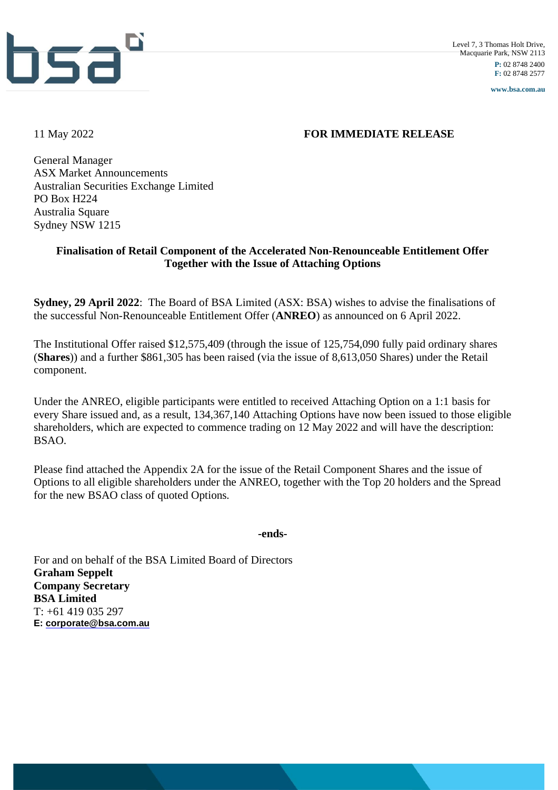

**www.bsa.com.au**

#### 11 May 2022 **FOR IMMEDIATE RELEASE**

General Manager ASX Market Announcements Australian Securities Exchange Limited PO Box H224 Australia Square Sydney NSW 1215

#### **Finalisation of Retail Component of the Accelerated Non-Renounceable Entitlement Offer Together with the Issue of Attaching Options**

**Sydney, 29 April 2022**: The Board of BSA Limited (ASX: BSA) wishes to advise the finalisations of the successful Non-Renounceable Entitlement Offer (**ANREO**) as announced on 6 April 2022.

The Institutional Offer raised \$12,575,409 (through the issue of 125,754,090 fully paid ordinary shares (**Shares**)) and a further \$861,305 has been raised (via the issue of 8,613,050 Shares) under the Retail component.

Under the ANREO, eligible participants were entitled to received Attaching Option on a 1:1 basis for every Share issued and, as a result, 134,367,140 Attaching Options have now been issued to those eligible shareholders, which are expected to commence trading on 12 May 2022 and will have the description: BSAO.

Please find attached the Appendix 2A for the issue of the Retail Component Shares and the issue of Options to all eligible shareholders under the ANREO, together with the Top 20 holders and the Spread for the new BSAO class of quoted Options.

**-ends-**

For and on behalf of the BSA Limited Board of Directors **Graham Seppelt Company Secretary BSA Limited**  $T: +61$  419 035 297 **E: [corporate@bsa.com.au](mailto:corporate@bsa.com.au)**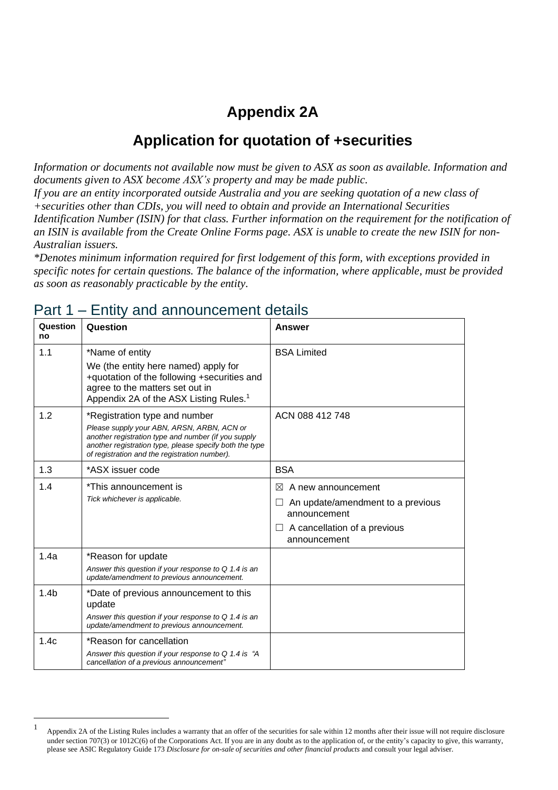## **Appendix 2A**

### **Application for quotation of +securities**

*Information or documents not available now must be given to ASX as soon as available. Information and documents given to ASX become ASX's property and may be made public.*

If you are an entity incorporated outside Australia and you are seeking quotation of a new class of *+securities other than CDIs, you will need to obtain and provide an International Securities Identification Number (ISIN) for that class. Further information on the requirement for the notification of* an ISIN is available from the Create Online Forms page. ASX is unable to create the new ISIN for non-*Australian issuers.*

*\*Denotes minimum information required for first lodgement of this form, with exceptions provided in specific notes for certain questions. The balance of the information, where applicable, must be provided as soon as reasonably practicable by the entity.*

| Question<br>no   | Question                                                                                                                                                                                                                                       | Answer                                                                                                                                    |
|------------------|------------------------------------------------------------------------------------------------------------------------------------------------------------------------------------------------------------------------------------------------|-------------------------------------------------------------------------------------------------------------------------------------------|
| 1.1              | *Name of entity<br>We (the entity here named) apply for<br>+quotation of the following +securities and                                                                                                                                         | <b>BSA Limited</b>                                                                                                                        |
|                  | agree to the matters set out in<br>Appendix 2A of the ASX Listing Rules. <sup>1</sup>                                                                                                                                                          |                                                                                                                                           |
| 1.2              | *Registration type and number<br>Please supply your ABN, ARSN, ARBN, ACN or<br>another registration type and number (if you supply<br>another registration type, please specify both the type<br>of registration and the registration number). | ACN 088 412 748                                                                                                                           |
| 1.3              | *ASX issuer code                                                                                                                                                                                                                               | <b>BSA</b>                                                                                                                                |
| 1.4              | *This announcement is<br>Tick whichever is applicable.                                                                                                                                                                                         | $\bowtie$<br>A new announcement<br>An update/amendment to a previous<br>announcement<br>A cancellation of a previous<br>⊔<br>announcement |
| 1.4a             | *Reason for update<br>Answer this question if your response to $Q$ 1.4 is an<br>update/amendment to previous announcement.                                                                                                                     |                                                                                                                                           |
| 1.4 <sub>b</sub> | *Date of previous announcement to this<br>update<br>Answer this question if your response to $Q$ 1.4 is an<br>update/amendment to previous announcement.                                                                                       |                                                                                                                                           |
| 1.4c             | *Reason for cancellation<br>Answer this question if your response to $Q$ 1.4 is "A<br>cancellation of a previous announcement"                                                                                                                 |                                                                                                                                           |

#### Part 1 – Entity and announcement details

<sup>1</sup> Appendix 2A of the Listing Rules includes a warranty that an offer of the securities for sale within 12 months after their issue will not require disclosure under section 707(3) or 1012C(6) of the Corporations Act. If you are in any doubt as to the application of, or the entity's capacity to give, this warranty, please see ASIC Regulatory Guide 173 *Disclosure for on-sale of securities and other financial products* and consult your legal adviser.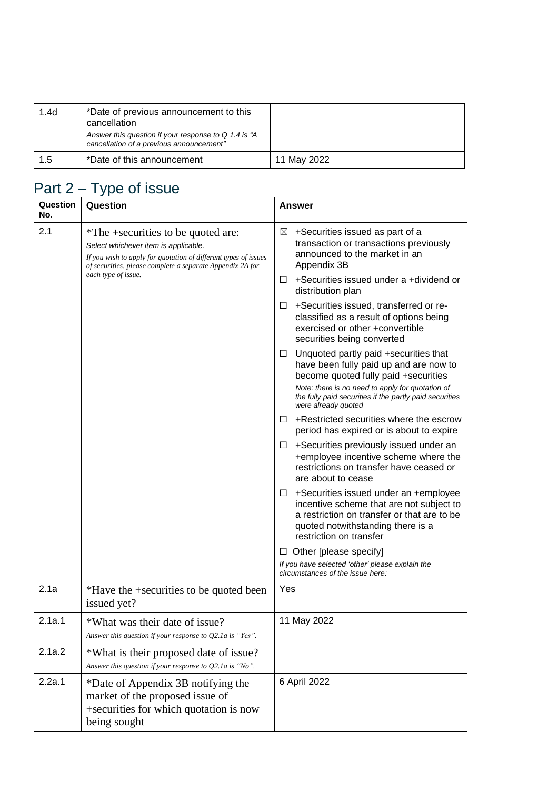| 1.4d | *Date of previous announcement to this<br>cancellation                                             |             |
|------|----------------------------------------------------------------------------------------------------|-------------|
|      | Answer this question if your response to $Q$ 1.4 is "A<br>cancellation of a previous announcement" |             |
| 1.5  | *Date of this announcement                                                                         | 11 May 2022 |

# Part 2 – Type of issue

| Question<br>No. | Question                                                                                                                                                                                                   |        | Answer                                                                                                                                                                                                  |
|-----------------|------------------------------------------------------------------------------------------------------------------------------------------------------------------------------------------------------------|--------|---------------------------------------------------------------------------------------------------------------------------------------------------------------------------------------------------------|
| 2.1             | *The +securities to be quoted are:<br>Select whichever item is applicable.<br>If you wish to apply for quotation of different types of issues<br>of securities, please complete a separate Appendix 2A for | ⊠      | +Securities issued as part of a<br>transaction or transactions previously<br>announced to the market in an<br>Appendix 3B                                                                               |
|                 | each type of issue.                                                                                                                                                                                        | $\Box$ | +Securities issued under a +dividend or<br>distribution plan                                                                                                                                            |
|                 |                                                                                                                                                                                                            | ⊔      | +Securities issued, transferred or re-<br>classified as a result of options being<br>exercised or other +convertible<br>securities being converted                                                      |
|                 |                                                                                                                                                                                                            | ⊔      | Unquoted partly paid +securities that<br>have been fully paid up and are now to<br>become quoted fully paid +securities                                                                                 |
|                 |                                                                                                                                                                                                            |        | Note: there is no need to apply for quotation of<br>the fully paid securities if the partly paid securities<br>were already quoted                                                                      |
|                 |                                                                                                                                                                                                            |        | $\Box$ + Restricted securities where the escrow<br>period has expired or is about to expire                                                                                                             |
|                 |                                                                                                                                                                                                            | ⊔      | +Securities previously issued under an<br>+employee incentive scheme where the<br>restrictions on transfer have ceased or<br>are about to cease                                                         |
|                 |                                                                                                                                                                                                            |        | $\Box$ +Securities issued under an +employee<br>incentive scheme that are not subject to<br>a restriction on transfer or that are to be<br>quoted notwithstanding there is a<br>restriction on transfer |
|                 |                                                                                                                                                                                                            |        | $\Box$ Other [please specify]                                                                                                                                                                           |
|                 |                                                                                                                                                                                                            |        | If you have selected 'other' please explain the<br>circumstances of the issue here:                                                                                                                     |
| 2.1a            | *Have the +securities to be quoted been<br>issued yet?                                                                                                                                                     | Yes    |                                                                                                                                                                                                         |
| 2.1a.1          | *What was their date of issue?<br>Answer this question if your response to Q2.1a is "Yes".                                                                                                                 |        | 11 May 2022                                                                                                                                                                                             |
| 2.1a.2          | *What is their proposed date of issue?<br>Answer this question if your response to $Q2.1a$ is "No".                                                                                                        |        |                                                                                                                                                                                                         |
| 2.2a.1          | *Date of Appendix 3B notifying the<br>market of the proposed issue of<br>+securities for which quotation is now<br>being sought                                                                            |        | 6 April 2022                                                                                                                                                                                            |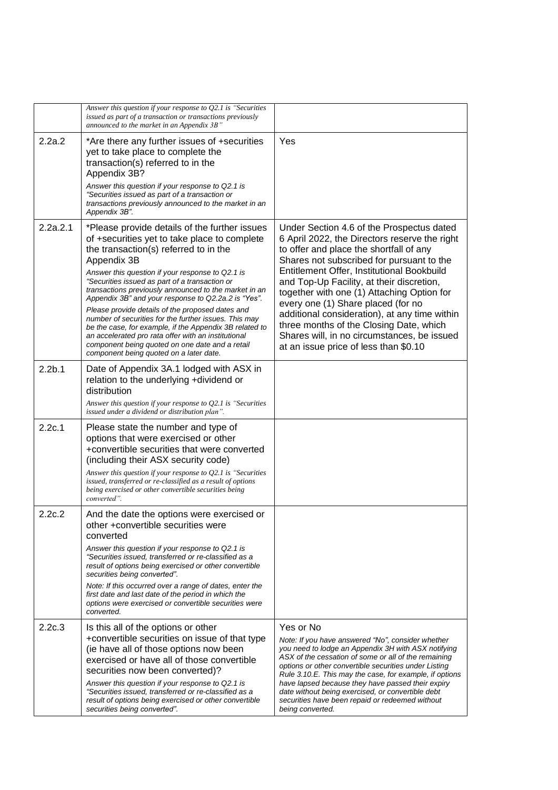|                    | Answer this question if your response to $Q2.1$ is "Securities"<br>issued as part of a transaction or transactions previously<br>announced to the market in an Appendix 3B"                                                                                                                                                                                                                                                                                                                                                                                                                                                                                                                              |                                                                                                                                                                                                                                                                                                                                                                                                                                                                                                                                                       |
|--------------------|----------------------------------------------------------------------------------------------------------------------------------------------------------------------------------------------------------------------------------------------------------------------------------------------------------------------------------------------------------------------------------------------------------------------------------------------------------------------------------------------------------------------------------------------------------------------------------------------------------------------------------------------------------------------------------------------------------|-------------------------------------------------------------------------------------------------------------------------------------------------------------------------------------------------------------------------------------------------------------------------------------------------------------------------------------------------------------------------------------------------------------------------------------------------------------------------------------------------------------------------------------------------------|
| 2.2a.2             | *Are there any further issues of +securities<br>yet to take place to complete the<br>transaction(s) referred to in the<br>Appendix 3B?                                                                                                                                                                                                                                                                                                                                                                                                                                                                                                                                                                   | Yes                                                                                                                                                                                                                                                                                                                                                                                                                                                                                                                                                   |
|                    | Answer this question if your response to Q2.1 is<br>"Securities issued as part of a transaction or<br>transactions previously announced to the market in an<br>Appendix 3B".                                                                                                                                                                                                                                                                                                                                                                                                                                                                                                                             |                                                                                                                                                                                                                                                                                                                                                                                                                                                                                                                                                       |
| 2.2a.2.1           | *Please provide details of the further issues<br>of +securities yet to take place to complete<br>the transaction(s) referred to in the<br>Appendix 3B<br>Answer this question if your response to Q2.1 is<br>"Securities issued as part of a transaction or<br>transactions previously announced to the market in an<br>Appendix 3B" and your response to Q2.2a.2 is "Yes".<br>Please provide details of the proposed dates and<br>number of securities for the further issues. This may<br>be the case, for example, if the Appendix 3B related to<br>an accelerated pro rata offer with an institutional<br>component being quoted on one date and a retail<br>component being quoted on a later date. | Under Section 4.6 of the Prospectus dated<br>6 April 2022, the Directors reserve the right<br>to offer and place the shortfall of any<br>Shares not subscribed for pursuant to the<br>Entitlement Offer, Institutional Bookbuild<br>and Top-Up Facility, at their discretion,<br>together with one (1) Attaching Option for<br>every one (1) Share placed (for no<br>additional consideration), at any time within<br>three months of the Closing Date, which<br>Shares will, in no circumstances, be issued<br>at an issue price of less than \$0.10 |
| 2.2 <sub>b.1</sub> | Date of Appendix 3A.1 lodged with ASX in<br>relation to the underlying +dividend or<br>distribution<br>Answer this question if your response to $Q2.1$ is "Securities"                                                                                                                                                                                                                                                                                                                                                                                                                                                                                                                                   |                                                                                                                                                                                                                                                                                                                                                                                                                                                                                                                                                       |
| 2.2c.1             | issued under a dividend or distribution plan".<br>Please state the number and type of<br>options that were exercised or other<br>+convertible securities that were converted                                                                                                                                                                                                                                                                                                                                                                                                                                                                                                                             |                                                                                                                                                                                                                                                                                                                                                                                                                                                                                                                                                       |
|                    | (including their ASX security code)<br>Answer this question if your response to $Q2.1$ is "Securities"<br>issued, transferred or re-classified as a result of options<br>being exercised or other convertible securities being<br>converted".                                                                                                                                                                                                                                                                                                                                                                                                                                                            |                                                                                                                                                                                                                                                                                                                                                                                                                                                                                                                                                       |
| 2.2c.2             | And the date the options were exercised or<br>other +convertible securities were<br>converted                                                                                                                                                                                                                                                                                                                                                                                                                                                                                                                                                                                                            |                                                                                                                                                                                                                                                                                                                                                                                                                                                                                                                                                       |
|                    | Answer this question if your response to Q2.1 is<br>"Securities issued, transferred or re-classified as a<br>result of options being exercised or other convertible<br>securities being converted".                                                                                                                                                                                                                                                                                                                                                                                                                                                                                                      |                                                                                                                                                                                                                                                                                                                                                                                                                                                                                                                                                       |
|                    | Note: If this occurred over a range of dates, enter the<br>first date and last date of the period in which the<br>options were exercised or convertible securities were<br>converted.                                                                                                                                                                                                                                                                                                                                                                                                                                                                                                                    |                                                                                                                                                                                                                                                                                                                                                                                                                                                                                                                                                       |
| 2.2c.3             | Is this all of the options or other<br>+convertible securities on issue of that type<br>(ie have all of those options now been<br>exercised or have all of those convertible<br>securities now been converted)?<br>Answer this question if your response to Q2.1 is<br>"Securities issued, transferred or re-classified as a<br>result of options being exercised or other convertible<br>securities being converted".                                                                                                                                                                                                                                                                                   | Yes or No<br>Note: If you have answered "No", consider whether<br>you need to lodge an Appendix 3H with ASX notifying<br>ASX of the cessation of some or all of the remaining<br>options or other convertible securities under Listing<br>Rule 3.10.E. This may the case, for example, if options<br>have lapsed because they have passed their expiry<br>date without being exercised, or convertible debt<br>securities have been repaid or redeemed without<br>being converted.                                                                    |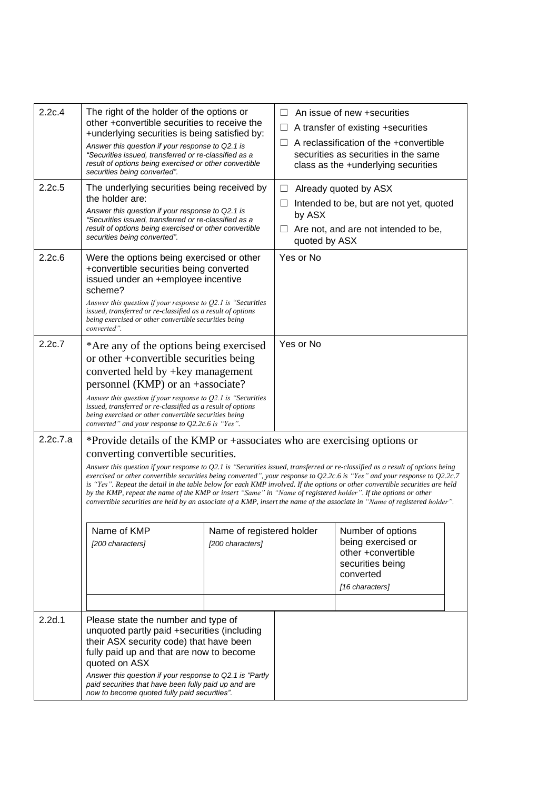| 2.2c.4   | The right of the holder of the options or<br>other +convertible securities to receive the<br>+underlying securities is being satisfied by:<br>Answer this question if your response to Q2.1 is<br>"Securities issued, transferred or re-classified as a<br>result of options being exercised or other convertible<br>securities being converted".                                                                                                                                                                                                                                                                                                                                                                                                                |                                               | ⊔                                 | An issue of new +securities<br>A transfer of existing +securities<br>A reclassification of the +convertible<br>securities as securities in the same<br>class as the +underlying securities |  |
|----------|------------------------------------------------------------------------------------------------------------------------------------------------------------------------------------------------------------------------------------------------------------------------------------------------------------------------------------------------------------------------------------------------------------------------------------------------------------------------------------------------------------------------------------------------------------------------------------------------------------------------------------------------------------------------------------------------------------------------------------------------------------------|-----------------------------------------------|-----------------------------------|--------------------------------------------------------------------------------------------------------------------------------------------------------------------------------------------|--|
| 2.2c.5   | The underlying securities being received by<br>the holder are:<br>Answer this question if your response to Q2.1 is<br>"Securities issued, transferred or re-classified as a<br>result of options being exercised or other convertible<br>securities being converted".                                                                                                                                                                                                                                                                                                                                                                                                                                                                                            |                                               | ⊔<br>by ASX<br>ш<br>quoted by ASX | Already quoted by ASX<br>Intended to be, but are not yet, quoted<br>Are not, and are not intended to be,                                                                                   |  |
| 2.2c.6   | Were the options being exercised or other<br>+convertible securities being converted<br>issued under an +employee incentive<br>scheme?<br>Answer this question if your response to $Q2.1$ is "Securities"<br>issued, transferred or re-classified as a result of options<br>being exercised or other convertible securities being<br>converted".                                                                                                                                                                                                                                                                                                                                                                                                                 |                                               | Yes or No                         |                                                                                                                                                                                            |  |
| 2.2c.7   | *Are any of the options being exercised<br>or other +convertible securities being<br>converted held by +key management<br>personnel (KMP) or an +associate?<br>Answer this question if your response to $Q2.1$ is "Securities"<br>issued, transferred or re-classified as a result of options<br>being exercised or other convertible securities being<br>converted" and your response to $Q2.2c.6$ is "Yes".                                                                                                                                                                                                                                                                                                                                                    |                                               | Yes or No                         |                                                                                                                                                                                            |  |
| 2.2c.7.a | *Provide details of the KMP or +associates who are exercising options or<br>converting convertible securities.<br>Answer this question if your response to Q2.1 is "Securities issued, transferred or re-classified as a result of options being<br>exercised or other convertible securities being converted", your response to Q2.2c.6 is "Yes" and your response to Q2.2c.7<br>is "Yes". Repeat the detail in the table below for each KMP involved. If the options or other convertible securities are held<br>by the KMP, repeat the name of the KMP or insert "Same" in "Name of registered holder". If the options or other<br>convertible securities are held by an associate of a KMP, insert the name of the associate in "Name of registered holder". |                                               |                                   |                                                                                                                                                                                            |  |
|          | Name of KMP<br>[200 characters]                                                                                                                                                                                                                                                                                                                                                                                                                                                                                                                                                                                                                                                                                                                                  | Name of registered holder<br>[200 characters] |                                   | Number of options<br>being exercised or<br>other +convertible<br>securities being<br>converted<br>[16 characters]                                                                          |  |
| 2.2d.1   | Please state the number and type of<br>unquoted partly paid +securities (including<br>their ASX security code) that have been<br>fully paid up and that are now to become<br>quoted on ASX<br>Answer this question if your response to Q2.1 is "Partly<br>paid securities that have been fully paid up and are<br>now to become quoted fully paid securities".                                                                                                                                                                                                                                                                                                                                                                                                   |                                               |                                   |                                                                                                                                                                                            |  |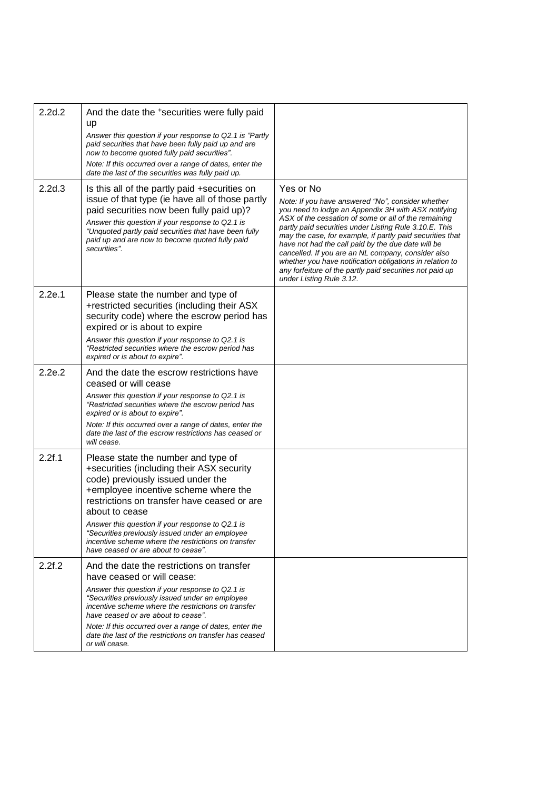| 2.2d.2 | And the date the +securities were fully paid<br>up<br>Answer this question if your response to Q2.1 is "Partly<br>paid securities that have been fully paid up and are<br>now to become quoted fully paid securities".<br>Note: If this occurred over a range of dates, enter the<br>date the last of the securities was fully paid up.                                                                                             |                                                                                                                                                                                                                                                                                                                                                                                                                                                                                                                                                                      |
|--------|-------------------------------------------------------------------------------------------------------------------------------------------------------------------------------------------------------------------------------------------------------------------------------------------------------------------------------------------------------------------------------------------------------------------------------------|----------------------------------------------------------------------------------------------------------------------------------------------------------------------------------------------------------------------------------------------------------------------------------------------------------------------------------------------------------------------------------------------------------------------------------------------------------------------------------------------------------------------------------------------------------------------|
| 2.2d.3 | Is this all of the partly paid +securities on<br>issue of that type (ie have all of those partly<br>paid securities now been fully paid up)?<br>Answer this question if your response to Q2.1 is<br>"Unquoted partly paid securities that have been fully<br>paid up and are now to become quoted fully paid<br>securities".                                                                                                        | Yes or No<br>Note: If you have answered "No", consider whether<br>you need to lodge an Appendix 3H with ASX notifying<br>ASX of the cessation of some or all of the remaining<br>partly paid securities under Listing Rule 3.10.E. This<br>may the case, for example, if partly paid securities that<br>have not had the call paid by the due date will be<br>cancelled. If you are an NL company, consider also<br>whether you have notification obligations in relation to<br>any forfeiture of the partly paid securities not paid up<br>under Listing Rule 3.12. |
| 2.2e.1 | Please state the number and type of<br>+restricted securities (including their ASX<br>security code) where the escrow period has<br>expired or is about to expire<br>Answer this question if your response to Q2.1 is<br>"Restricted securities where the escrow period has<br>expired or is about to expire".                                                                                                                      |                                                                                                                                                                                                                                                                                                                                                                                                                                                                                                                                                                      |
| 2.2e.2 | And the date the escrow restrictions have<br>ceased or will cease<br>Answer this question if your response to Q2.1 is<br>"Restricted securities where the escrow period has<br>expired or is about to expire".<br>Note: If this occurred over a range of dates, enter the<br>date the last of the escrow restrictions has ceased or<br>will cease.                                                                                  |                                                                                                                                                                                                                                                                                                                                                                                                                                                                                                                                                                      |
| 2.2f.1 | Please state the number and type of<br>+securities (including their ASX security<br>code) previously issued under the<br>+employee incentive scheme where the<br>restrictions on transfer have ceased or are<br>about to cease<br>Answer this question if your response to Q2.1 is<br>"Securities previously issued under an employee<br>incentive scheme where the restrictions on transfer<br>have ceased or are about to cease". |                                                                                                                                                                                                                                                                                                                                                                                                                                                                                                                                                                      |
| 2.2f.2 | And the date the restrictions on transfer<br>have ceased or will cease:<br>Answer this question if your response to Q2.1 is<br>"Securities previously issued under an employee<br>incentive scheme where the restrictions on transfer<br>have ceased or are about to cease".<br>Note: If this occurred over a range of dates, enter the<br>date the last of the restrictions on transfer has ceased<br>or will cease.               |                                                                                                                                                                                                                                                                                                                                                                                                                                                                                                                                                                      |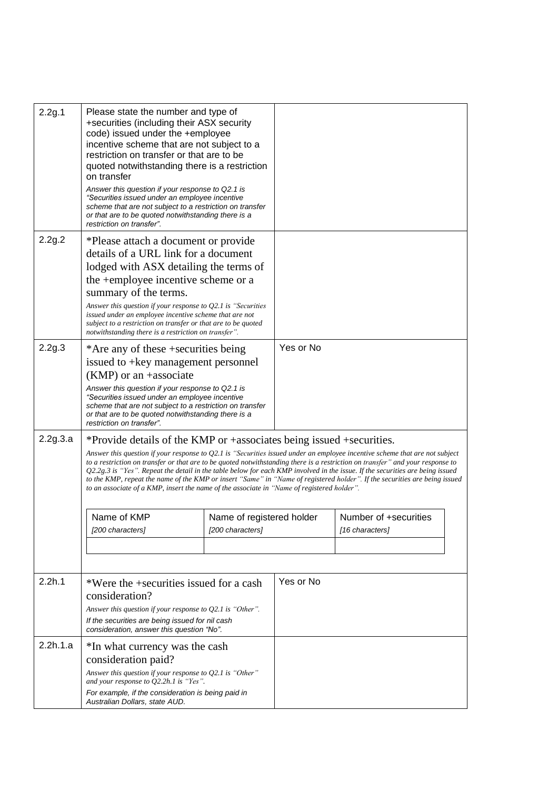| 2.2g.1   | Please state the number and type of<br>+securities (including their ASX security<br>code) issued under the +employee<br>incentive scheme that are not subject to a<br>restriction on transfer or that are to be<br>quoted notwithstanding there is a restriction<br>on transfer<br>Answer this question if your response to Q2.1 is<br>"Securities issued under an employee incentive<br>scheme that are not subject to a restriction on transfer<br>or that are to be quoted notwithstanding there is a<br>restriction on transfer".                                                                                        |                           |           |                       |  |
|----------|------------------------------------------------------------------------------------------------------------------------------------------------------------------------------------------------------------------------------------------------------------------------------------------------------------------------------------------------------------------------------------------------------------------------------------------------------------------------------------------------------------------------------------------------------------------------------------------------------------------------------|---------------------------|-----------|-----------------------|--|
| 2.2g.2   | *Please attach a document or provide                                                                                                                                                                                                                                                                                                                                                                                                                                                                                                                                                                                         |                           |           |                       |  |
|          | details of a URL link for a document                                                                                                                                                                                                                                                                                                                                                                                                                                                                                                                                                                                         |                           |           |                       |  |
|          | lodged with ASX detailing the terms of                                                                                                                                                                                                                                                                                                                                                                                                                                                                                                                                                                                       |                           |           |                       |  |
|          | the +employee incentive scheme or a                                                                                                                                                                                                                                                                                                                                                                                                                                                                                                                                                                                          |                           |           |                       |  |
|          | summary of the terms.                                                                                                                                                                                                                                                                                                                                                                                                                                                                                                                                                                                                        |                           |           |                       |  |
|          | Answer this question if your response to $Q2.1$ is "Securities<br>issued under an employee incentive scheme that are not                                                                                                                                                                                                                                                                                                                                                                                                                                                                                                     |                           |           |                       |  |
|          | subject to a restriction on transfer or that are to be quoted                                                                                                                                                                                                                                                                                                                                                                                                                                                                                                                                                                |                           |           |                       |  |
|          | notwithstanding there is a restriction on transfer".                                                                                                                                                                                                                                                                                                                                                                                                                                                                                                                                                                         |                           |           |                       |  |
| 2.2g.3   | *Are any of these +securities being                                                                                                                                                                                                                                                                                                                                                                                                                                                                                                                                                                                          |                           | Yes or No |                       |  |
|          | issued to +key management personnel                                                                                                                                                                                                                                                                                                                                                                                                                                                                                                                                                                                          |                           |           |                       |  |
|          | $(KMP)$ or an +associate                                                                                                                                                                                                                                                                                                                                                                                                                                                                                                                                                                                                     |                           |           |                       |  |
|          | Answer this question if your response to Q2.1 is<br>"Securities issued under an employee incentive<br>scheme that are not subject to a restriction on transfer<br>or that are to be quoted notwithstanding there is a<br>restriction on transfer".                                                                                                                                                                                                                                                                                                                                                                           |                           |           |                       |  |
| 2.2g.3.a | *Provide details of the KMP or +associates being issued +securities.                                                                                                                                                                                                                                                                                                                                                                                                                                                                                                                                                         |                           |           |                       |  |
|          | Answer this question if your response to Q2.1 is "Securities issued under an employee incentive scheme that are not subject<br>to a restriction on transfer or that are to be quoted notwithstanding there is a restriction on transfer" and your response to<br>$Q2.2g.3$ is "Yes". Repeat the detail in the table below for each KMP involved in the issue. If the securities are being issued<br>to the KMP, repeat the name of the KMP or insert "Same" in "Name of registered holder". If the securities are being issued<br>to an associate of a KMP, insert the name of the associate in "Name of registered holder". |                           |           |                       |  |
|          | Name of KMP                                                                                                                                                                                                                                                                                                                                                                                                                                                                                                                                                                                                                  | Name of registered holder |           | Number of +securities |  |
|          | [200 characters]                                                                                                                                                                                                                                                                                                                                                                                                                                                                                                                                                                                                             | [200 characters]          |           | [16 characters]       |  |
|          |                                                                                                                                                                                                                                                                                                                                                                                                                                                                                                                                                                                                                              |                           |           |                       |  |
|          |                                                                                                                                                                                                                                                                                                                                                                                                                                                                                                                                                                                                                              |                           |           |                       |  |
| 2.2h.1   | *Were the +securities issued for a cash                                                                                                                                                                                                                                                                                                                                                                                                                                                                                                                                                                                      |                           | Yes or No |                       |  |
|          | consideration?                                                                                                                                                                                                                                                                                                                                                                                                                                                                                                                                                                                                               |                           |           |                       |  |
|          | Answer this question if your response to $Q2.1$ is "Other".                                                                                                                                                                                                                                                                                                                                                                                                                                                                                                                                                                  |                           |           |                       |  |
|          | If the securities are being issued for nil cash<br>consideration, answer this question "No".                                                                                                                                                                                                                                                                                                                                                                                                                                                                                                                                 |                           |           |                       |  |
| 2.2h.1.a | *In what currency was the cash                                                                                                                                                                                                                                                                                                                                                                                                                                                                                                                                                                                               |                           |           |                       |  |
|          | consideration paid?                                                                                                                                                                                                                                                                                                                                                                                                                                                                                                                                                                                                          |                           |           |                       |  |
|          | Answer this question if your response to $Q2.1$ is "Other"<br>and your response to $Q2.2h.1$ is "Yes".                                                                                                                                                                                                                                                                                                                                                                                                                                                                                                                       |                           |           |                       |  |
|          | For example, if the consideration is being paid in<br>Australian Dollars, state AUD.                                                                                                                                                                                                                                                                                                                                                                                                                                                                                                                                         |                           |           |                       |  |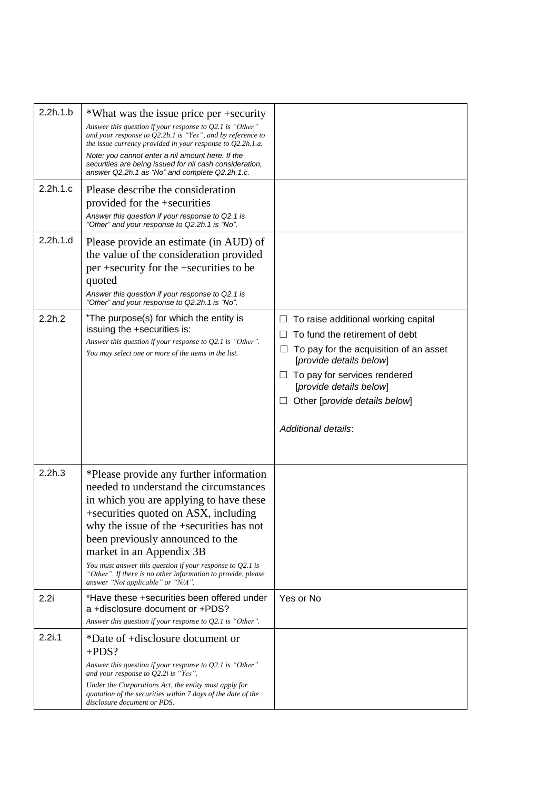| 2.2h.1.b<br>2.2h.1.c | *What was the issue price per +security<br>Answer this question if your response to Q2.1 is "Other"<br>and your response to $Q2.2h.1$ is "Yes", and by reference to<br>the issue currency provided in your response to $Q2.2h.1.a.$<br>Note: you cannot enter a nil amount here. If the<br>securities are being issued for nil cash consideration,<br>answer Q2.2h.1 as "No" and complete Q2.2h.1.c.<br>Please describe the consideration<br>provided for the +securities<br>Answer this question if your response to Q2.1 is<br>"Other" and your response to Q2.2h.1 is "No". |                                                                                                                                                                                                                                                                           |
|----------------------|--------------------------------------------------------------------------------------------------------------------------------------------------------------------------------------------------------------------------------------------------------------------------------------------------------------------------------------------------------------------------------------------------------------------------------------------------------------------------------------------------------------------------------------------------------------------------------|---------------------------------------------------------------------------------------------------------------------------------------------------------------------------------------------------------------------------------------------------------------------------|
| 2.2h.1.d             | Please provide an estimate (in AUD) of<br>the value of the consideration provided<br>per +security for the +securities to be<br>quoted<br>Answer this question if your response to Q2.1 is<br>"Other" and your response to Q2.2h.1 is "No".                                                                                                                                                                                                                                                                                                                                    |                                                                                                                                                                                                                                                                           |
| 2.2h.2               | *The purpose(s) for which the entity is<br>issuing the +securities is:<br>Answer this question if your response to $Q2.1$ is "Other".<br>You may select one or more of the items in the list.                                                                                                                                                                                                                                                                                                                                                                                  | To raise additional working capital<br>To fund the retirement of debt<br>To pay for the acquisition of an asset<br>⊔<br>[provide details below]<br>To pay for services rendered<br>[provide details below]<br>Other [provide details below]<br><b>Additional details:</b> |
| 2.2h.3               | *Please provide any further information<br>needed to understand the circumstances<br>in which you are applying to have these<br>+securities quoted on ASX, including<br>why the issue of the +securities has not<br>been previously announced to the<br>market in an Appendix 3B<br>You must answer this question if your response to $Q2.1$ is<br>"Other". If there is no other information to provide, please<br>answer "Not applicable" or "N/A".                                                                                                                           |                                                                                                                                                                                                                                                                           |
| 2.2i                 | *Have these +securities been offered under<br>a +disclosure document or +PDS?<br>Answer this question if your response to $Q2.1$ is "Other".                                                                                                                                                                                                                                                                                                                                                                                                                                   | Yes or No                                                                                                                                                                                                                                                                 |
| 2.2i.1               | *Date of +disclosure document or<br>$+PDS?$<br>Answer this question if your response to $Q2.1$ is "Other"<br>and your response to $Q2.2i$ is "Yes".<br>Under the Corporations Act, the entity must apply for<br>quotation of the securities within 7 days of the date of the<br>disclosure document or PDS.                                                                                                                                                                                                                                                                    |                                                                                                                                                                                                                                                                           |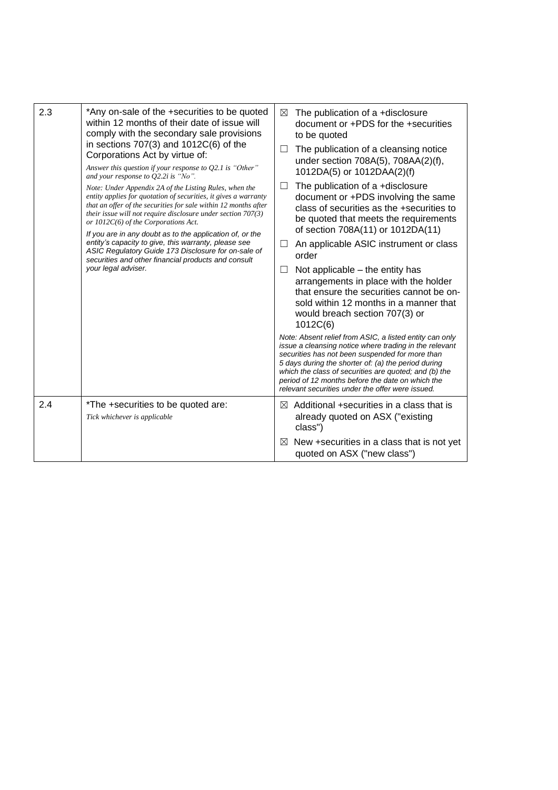| 2.3 | *Any on-sale of the +securities to be quoted<br>within 12 months of their date of issue will<br>comply with the secondary sale provisions<br>in sections $707(3)$ and $1012C(6)$ of the<br>Corporations Act by virtue of:<br>Answer this question if your response to $Q2.1$ is "Other"<br>and your response to $Q2.2i$ is "No".<br>Note: Under Appendix 2A of the Listing Rules, when the<br>entity applies for quotation of securities, it gives a warranty<br>that an offer of the securities for sale within 12 months after<br>their issue will not require disclosure under section 707(3)<br>or $1012C(6)$ of the Corporations Act.<br>If you are in any doubt as to the application of, or the<br>entity's capacity to give, this warranty, please see<br>ASIC Regulatory Guide 173 Disclosure for on-sale of<br>securities and other financial products and consult<br>your legal adviser. | ⊠<br>$\Box$<br>$\Box$ | The publication of a +disclosure<br>document or +PDS for the +securities<br>to be quoted<br>The publication of a cleansing notice<br>under section 708A(5), 708AA(2)(f),<br>1012DA(5) or 1012DAA(2)(f)<br>The publication of a +disclosure<br>document or +PDS involving the same<br>class of securities as the +securities to<br>be quoted that meets the requirements<br>of section 708A(11) or 1012DA(11)<br>An applicable ASIC instrument or class<br>order<br>Not applicable – the entity has<br>arrangements in place with the holder<br>that ensure the securities cannot be on-<br>sold within 12 months in a manner that<br>would breach section 707(3) or<br>1012C(6)<br>Note: Absent relief from ASIC, a listed entity can only<br>issue a cleansing notice where trading in the relevant<br>securities has not been suspended for more than<br>5 days during the shorter of: (a) the period during<br>which the class of securities are quoted; and (b) the<br>period of 12 months before the date on which the |
|-----|-----------------------------------------------------------------------------------------------------------------------------------------------------------------------------------------------------------------------------------------------------------------------------------------------------------------------------------------------------------------------------------------------------------------------------------------------------------------------------------------------------------------------------------------------------------------------------------------------------------------------------------------------------------------------------------------------------------------------------------------------------------------------------------------------------------------------------------------------------------------------------------------------------|-----------------------|-----------------------------------------------------------------------------------------------------------------------------------------------------------------------------------------------------------------------------------------------------------------------------------------------------------------------------------------------------------------------------------------------------------------------------------------------------------------------------------------------------------------------------------------------------------------------------------------------------------------------------------------------------------------------------------------------------------------------------------------------------------------------------------------------------------------------------------------------------------------------------------------------------------------------------------------------------------------------------------------------------------------------------|
|     |                                                                                                                                                                                                                                                                                                                                                                                                                                                                                                                                                                                                                                                                                                                                                                                                                                                                                                     |                       | relevant securities under the offer were issued.                                                                                                                                                                                                                                                                                                                                                                                                                                                                                                                                                                                                                                                                                                                                                                                                                                                                                                                                                                            |
| 2.4 | *The +securities to be quoted are:<br>Tick whichever is applicable                                                                                                                                                                                                                                                                                                                                                                                                                                                                                                                                                                                                                                                                                                                                                                                                                                  | $\bowtie$<br>⊠        | Additional +securities in a class that is<br>already quoted on ASX ("existing<br>class")<br>New +securities in a class that is not yet                                                                                                                                                                                                                                                                                                                                                                                                                                                                                                                                                                                                                                                                                                                                                                                                                                                                                      |
|     |                                                                                                                                                                                                                                                                                                                                                                                                                                                                                                                                                                                                                                                                                                                                                                                                                                                                                                     |                       | quoted on ASX ("new class")                                                                                                                                                                                                                                                                                                                                                                                                                                                                                                                                                                                                                                                                                                                                                                                                                                                                                                                                                                                                 |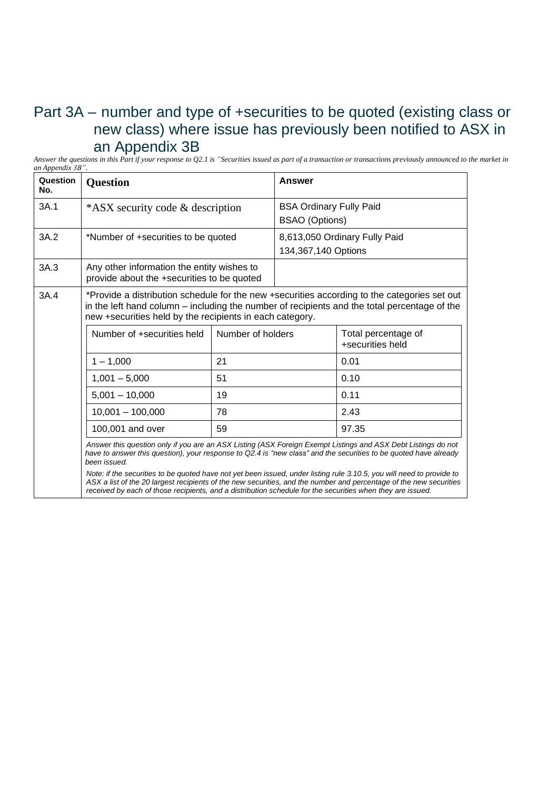### Part 3A – number and type of +securities to be quoted (existing class or new class) where issue has previously been notified to ASX in an Appendix 3B

Answer the questions in this Part if your response to Q2.1 is "Securities issued as part of a transaction or transactions previously announced to the market in *an Appendix 3B".*

| Question<br>No. | <b>Question</b>                                                                                                                                                                                                                                          |                   | Answer                                                  |                                                                                                                                                                                                                                                                                                                                                            |
|-----------------|----------------------------------------------------------------------------------------------------------------------------------------------------------------------------------------------------------------------------------------------------------|-------------------|---------------------------------------------------------|------------------------------------------------------------------------------------------------------------------------------------------------------------------------------------------------------------------------------------------------------------------------------------------------------------------------------------------------------------|
| 3A.1            | *ASX security code & description                                                                                                                                                                                                                         |                   | <b>BSA Ordinary Fully Paid</b><br><b>BSAO</b> (Options) |                                                                                                                                                                                                                                                                                                                                                            |
| 3A.2            | *Number of +securities to be quoted                                                                                                                                                                                                                      |                   | 134,367,140 Options                                     | 8,613,050 Ordinary Fully Paid                                                                                                                                                                                                                                                                                                                              |
| 3A.3            | Any other information the entity wishes to<br>provide about the +securities to be quoted                                                                                                                                                                 |                   |                                                         |                                                                                                                                                                                                                                                                                                                                                            |
| 3A.4            | *Provide a distribution schedule for the new +securities according to the categories set out<br>in the left hand column – including the number of recipients and the total percentage of the<br>new +securities held by the recipients in each category. |                   |                                                         |                                                                                                                                                                                                                                                                                                                                                            |
|                 | Number of +securities held                                                                                                                                                                                                                               | Number of holders |                                                         | Total percentage of<br>+securities held                                                                                                                                                                                                                                                                                                                    |
|                 | $1 - 1,000$                                                                                                                                                                                                                                              | 21                |                                                         | 0.01                                                                                                                                                                                                                                                                                                                                                       |
|                 | $1,001 - 5,000$                                                                                                                                                                                                                                          | 51                |                                                         | 0.10                                                                                                                                                                                                                                                                                                                                                       |
|                 | $5,001 - 10,000$                                                                                                                                                                                                                                         | 19                |                                                         | 0.11                                                                                                                                                                                                                                                                                                                                                       |
|                 | $10,001 - 100,000$                                                                                                                                                                                                                                       | 78                |                                                         | 2.43                                                                                                                                                                                                                                                                                                                                                       |
|                 | 100,001 and over                                                                                                                                                                                                                                         | 59                |                                                         | 97.35                                                                                                                                                                                                                                                                                                                                                      |
|                 | been issued.                                                                                                                                                                                                                                             |                   |                                                         | Answer this question only if you are an ASX Listing (ASX Foreign Exempt Listings and ASX Debt Listings do not<br>have to answer this question), your response to Q2.4 is "new class" and the securities to be quoted have already<br>Note: if the securities to be quoted have not yet been issued, under listing rule 3.10.5, you will need to provide to |
|                 | ASX a list of the 20 largest recipients of the new securities, and the number and percentage of the new securities                                                                                                                                       |                   |                                                         |                                                                                                                                                                                                                                                                                                                                                            |

ASX a list of the 20 largest recipients of the new securities, and the number and percentage of the new securities received by each of those recipients, and a distribution schedule for the securities when they are issued.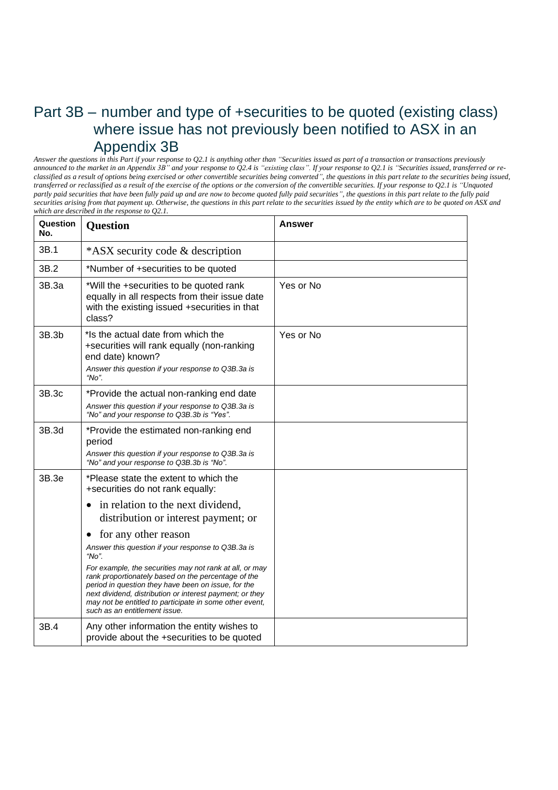#### Part 3B – number and type of +securities to be quoted (existing class) where issue has not previously been notified to ASX in an Appendix 3B

Answer the questions in this Part if your response to Q2.1 is anything other than "Securities issued as part of a transaction or transactions previously announced to the market in an Appendix 3B" and your response to Q2.4 is "existing class". If your response to Q2.1 is "Securities issued, transferred or reclassified as a result of options being exercised or other convertible securities being converted", the questions in this part relate to the securities being issued, transferred or reclassified as a result of the exercise of the options or the conversion of the convertible securities. If your response to Q2.1 is "Unquoted partly paid securities that have been fully paid up and are now to become quoted fully paid securities", the questions in this part relate to the fully paid securities arising from that payment up. Otherwise, the questions in this part relate to the securities issued by the entity which are to be quoted on ASX and *which are described in the response to Q2.1.*

| Question<br>No.   | Question                                                                                                                                                                                                                                                                                                                      | <b>Answer</b> |
|-------------------|-------------------------------------------------------------------------------------------------------------------------------------------------------------------------------------------------------------------------------------------------------------------------------------------------------------------------------|---------------|
| 3B.1              | *ASX security code & description                                                                                                                                                                                                                                                                                              |               |
| 3B.2              | *Number of +securities to be quoted                                                                                                                                                                                                                                                                                           |               |
| 3B.3a             | *Will the +securities to be quoted rank<br>equally in all respects from their issue date<br>with the existing issued +securities in that<br>class?                                                                                                                                                                            | Yes or No     |
| 3B.3 <sub>b</sub> | *Is the actual date from which the<br>+securities will rank equally (non-ranking<br>end date) known?<br>Answer this question if your response to Q3B.3a is<br>"No".                                                                                                                                                           | Yes or No     |
| 3B.3c             | *Provide the actual non-ranking end date                                                                                                                                                                                                                                                                                      |               |
|                   | Answer this question if your response to Q3B.3a is<br>"No" and your response to Q3B.3b is "Yes".                                                                                                                                                                                                                              |               |
| 3B.3d             | *Provide the estimated non-ranking end<br>period<br>Answer this question if your response to Q3B.3a is<br>"No" and your response to Q3B.3b is "No".                                                                                                                                                                           |               |
| 3B.3e             | *Please state the extent to which the<br>+securities do not rank equally:                                                                                                                                                                                                                                                     |               |
|                   | in relation to the next dividend,<br>$\bullet$<br>distribution or interest payment; or                                                                                                                                                                                                                                        |               |
|                   | for any other reason<br>٠                                                                                                                                                                                                                                                                                                     |               |
|                   | Answer this question if your response to Q3B.3a is<br>"No".                                                                                                                                                                                                                                                                   |               |
|                   | For example, the securities may not rank at all, or may<br>rank proportionately based on the percentage of the<br>period in question they have been on issue, for the<br>next dividend, distribution or interest payment; or they<br>may not be entitled to participate in some other event,<br>such as an entitlement issue. |               |
| 3B.4              | Any other information the entity wishes to<br>provide about the +securities to be quoted                                                                                                                                                                                                                                      |               |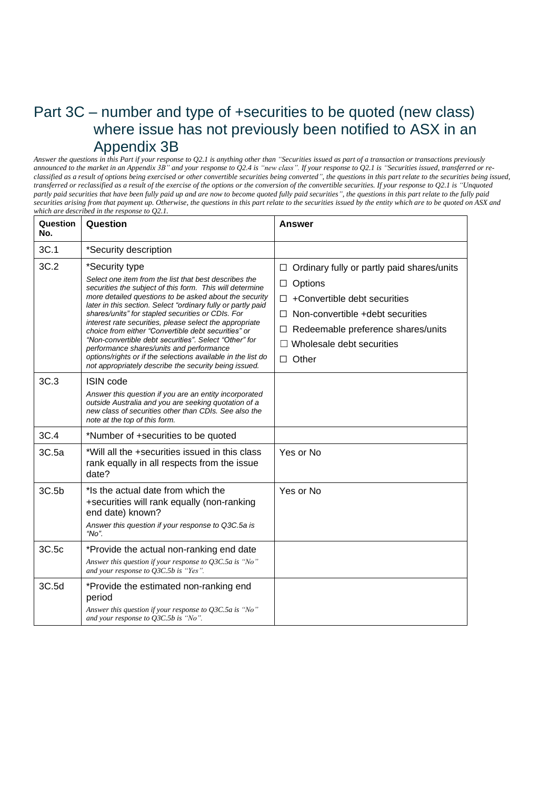#### Part 3C – number and type of +securities to be quoted (new class) where issue has not previously been notified to ASX in an Appendix 3B

Answer the questions in this Part if your response to Q2.1 is anything other than "Securities issued as part of a transaction or transactions previously announced to the market in an Appendix 3B" and your response to Q2.4 is "new class". If your response to Q2.1 is "Securities issued, transferred or reclassified as a result of options being exercised or other convertible securities being converted", the questions in this part relate to the securities being issued, transferred or reclassified as a result of the exercise of the options or the conversion of the convertible securities. If your response to Q2.1 is "Unquoted partly paid securities that have been fully paid up and are now to become quoted fully paid securities", the questions in this part relate to the fully paid securities arising from that payment up. Otherwise, the questions in this part relate to the securities issued by the entity which are to be quoted on ASX and *which are described in the response to Q2.1.*

| Question<br>No. | Question                                                                                                                                                                                                                                                                                                                                                                                                                                                                                                                                                                                                                                                           | <b>Answer</b>                                                                                                                                                                                                                                     |
|-----------------|--------------------------------------------------------------------------------------------------------------------------------------------------------------------------------------------------------------------------------------------------------------------------------------------------------------------------------------------------------------------------------------------------------------------------------------------------------------------------------------------------------------------------------------------------------------------------------------------------------------------------------------------------------------------|---------------------------------------------------------------------------------------------------------------------------------------------------------------------------------------------------------------------------------------------------|
| 3C.1            | *Security description                                                                                                                                                                                                                                                                                                                                                                                                                                                                                                                                                                                                                                              |                                                                                                                                                                                                                                                   |
| 3C.2            | *Security type<br>Select one item from the list that best describes the<br>securities the subject of this form. This will determine<br>more detailed questions to be asked about the security<br>later in this section. Select "ordinary fully or partly paid<br>shares/units" for stapled securities or CDIs. For<br>interest rate securities, please select the appropriate<br>choice from either "Convertible debt securities" or<br>"Non-convertible debt securities". Select "Other" for<br>performance shares/units and performance<br>options/rights or if the selections available in the list do<br>not appropriately describe the security being issued. | $\Box$ Ordinary fully or partly paid shares/units<br>Options<br>□<br>+Convertible debt securities<br>$\Box$<br>Non-convertible +debt securities<br>П<br>Redeemable preference shares/units<br>$\Box$<br>Wholesale debt securities<br>$\Box$ Other |
| 3C.3            | <b>ISIN</b> code<br>Answer this question if you are an entity incorporated<br>outside Australia and you are seeking quotation of a<br>new class of securities other than CDIs. See also the<br>note at the top of this form.                                                                                                                                                                                                                                                                                                                                                                                                                                       |                                                                                                                                                                                                                                                   |
| 3C.4            | *Number of +securities to be quoted                                                                                                                                                                                                                                                                                                                                                                                                                                                                                                                                                                                                                                |                                                                                                                                                                                                                                                   |
| 3C.5a           | *Will all the +securities issued in this class<br>rank equally in all respects from the issue<br>date?                                                                                                                                                                                                                                                                                                                                                                                                                                                                                                                                                             | Yes or No                                                                                                                                                                                                                                         |
| 3C.5b           | *Is the actual date from which the<br>+securities will rank equally (non-ranking<br>end date) known?<br>Answer this question if your response to Q3C.5a is<br>" $No$ ".                                                                                                                                                                                                                                                                                                                                                                                                                                                                                            | Yes or No                                                                                                                                                                                                                                         |
| 3C.5c           | *Provide the actual non-ranking end date<br>Answer this question if your response to Q3C.5a is "No"<br>and your response to Q3C.5b is "Yes".                                                                                                                                                                                                                                                                                                                                                                                                                                                                                                                       |                                                                                                                                                                                                                                                   |
| 3C.5d           | *Provide the estimated non-ranking end<br>period<br>Answer this question if your response to $Q3C.5a$ is "No"<br>and your response to Q3C.5b is "No".                                                                                                                                                                                                                                                                                                                                                                                                                                                                                                              |                                                                                                                                                                                                                                                   |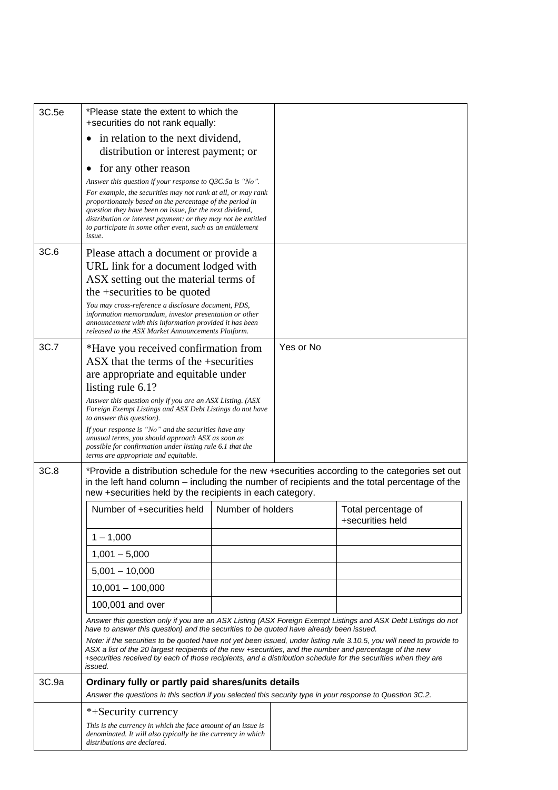| 3C.5e | *Please state the extent to which the<br>+securities do not rank equally:                                                                                                                                                                                                                                                                                      |                   |           |                     |
|-------|----------------------------------------------------------------------------------------------------------------------------------------------------------------------------------------------------------------------------------------------------------------------------------------------------------------------------------------------------------------|-------------------|-----------|---------------------|
|       | in relation to the next dividend,<br>$\bullet$                                                                                                                                                                                                                                                                                                                 |                   |           |                     |
|       | distribution or interest payment; or                                                                                                                                                                                                                                                                                                                           |                   |           |                     |
|       | for any other reason<br>$\bullet$                                                                                                                                                                                                                                                                                                                              |                   |           |                     |
|       | Answer this question if your response to $Q3C.5a$ is "No".                                                                                                                                                                                                                                                                                                     |                   |           |                     |
|       | For example, the securities may not rank at all, or may rank<br>proportionately based on the percentage of the period in<br>question they have been on issue, for the next dividend,<br>distribution or interest payment; or they may not be entitled<br>to participate in some other event, such as an entitlement<br>issue.                                  |                   |           |                     |
| 3C.6  | Please attach a document or provide a                                                                                                                                                                                                                                                                                                                          |                   |           |                     |
|       | URL link for a document lodged with                                                                                                                                                                                                                                                                                                                            |                   |           |                     |
|       | ASX setting out the material terms of                                                                                                                                                                                                                                                                                                                          |                   |           |                     |
|       | the +securities to be quoted                                                                                                                                                                                                                                                                                                                                   |                   |           |                     |
|       | You may cross-reference a disclosure document, PDS,<br>information memorandum, investor presentation or other                                                                                                                                                                                                                                                  |                   |           |                     |
|       | announcement with this information provided it has been<br>released to the ASX Market Announcements Platform.                                                                                                                                                                                                                                                  |                   |           |                     |
| 3C.7  | *Have you received confirmation from                                                                                                                                                                                                                                                                                                                           |                   | Yes or No |                     |
|       | ASX that the terms of the +securities                                                                                                                                                                                                                                                                                                                          |                   |           |                     |
|       | are appropriate and equitable under                                                                                                                                                                                                                                                                                                                            |                   |           |                     |
|       | listing rule 6.1?                                                                                                                                                                                                                                                                                                                                              |                   |           |                     |
|       | Answer this question only if you are an ASX Listing. (ASX)<br>Foreign Exempt Listings and ASX Debt Listings do not have                                                                                                                                                                                                                                        |                   |           |                     |
|       | to answer this question).<br>If your response is "No" and the securities have any                                                                                                                                                                                                                                                                              |                   |           |                     |
|       | unusual terms, you should approach ASX as soon as                                                                                                                                                                                                                                                                                                              |                   |           |                     |
|       | possible for confirmation under listing rule 6.1 that the<br>terms are appropriate and equitable.                                                                                                                                                                                                                                                              |                   |           |                     |
| 3C.8  | *Provide a distribution schedule for the new +securities according to the categories set out<br>in the left hand column – including the number of recipients and the total percentage of the<br>new +securities held by the recipients in each category.                                                                                                       |                   |           |                     |
|       | Number of +securities held                                                                                                                                                                                                                                                                                                                                     | Number of holders |           | Total percentage of |
|       |                                                                                                                                                                                                                                                                                                                                                                |                   |           | +securities held    |
|       | $1 - 1,000$                                                                                                                                                                                                                                                                                                                                                    |                   |           |                     |
|       | $1,001 - 5,000$                                                                                                                                                                                                                                                                                                                                                |                   |           |                     |
|       | $5,001 - 10,000$                                                                                                                                                                                                                                                                                                                                               |                   |           |                     |
|       | $10,001 - 100,000$                                                                                                                                                                                                                                                                                                                                             |                   |           |                     |
|       | 100,001 and over                                                                                                                                                                                                                                                                                                                                               |                   |           |                     |
|       | Answer this question only if you are an ASX Listing (ASX Foreign Exempt Listings and ASX Debt Listings do not<br>have to answer this question) and the securities to be quoted have already been issued.                                                                                                                                                       |                   |           |                     |
|       | Note: if the securities to be quoted have not yet been issued, under listing rule 3.10.5, you will need to provide to<br>ASX a list of the 20 largest recipients of the new +securities, and the number and percentage of the new<br>+securities received by each of those recipients, and a distribution schedule for the securities when they are<br>issued. |                   |           |                     |
| 3C.9a | Ordinary fully or partly paid shares/units details                                                                                                                                                                                                                                                                                                             |                   |           |                     |
|       | Answer the questions in this section if you selected this security type in your response to Question 3C.2.                                                                                                                                                                                                                                                     |                   |           |                     |
|       | *+Security currency                                                                                                                                                                                                                                                                                                                                            |                   |           |                     |
|       | This is the currency in which the face amount of an issue is<br>denominated. It will also typically be the currency in which<br>distributions are declared.                                                                                                                                                                                                    |                   |           |                     |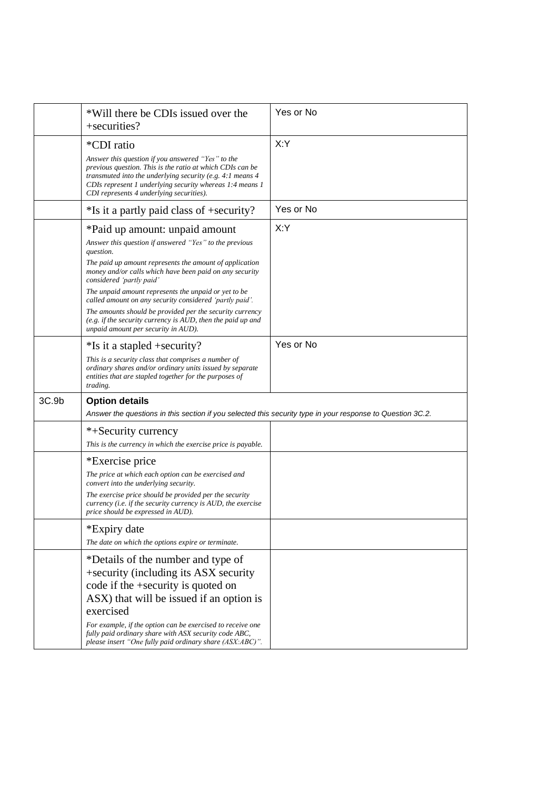|       | *Will there be CDIs issued over the<br>+securities?                                                                                                                                                                                                     | Yes or No |
|-------|---------------------------------------------------------------------------------------------------------------------------------------------------------------------------------------------------------------------------------------------------------|-----------|
|       | <i>*CDI</i> ratio<br>Answer this question if you answered "Yes" to the<br>previous question. This is the ratio at which CDIs can be<br>transmuted into the underlying security (e.g. $4:1$ means $4$                                                    | X:Y       |
|       | CDIs represent 1 underlying security whereas 1:4 means 1<br>CDI represents 4 underlying securities).                                                                                                                                                    |           |
|       | *Is it a partly paid class of +security?                                                                                                                                                                                                                | Yes or No |
|       | *Paid up amount: unpaid amount<br>Answer this question if answered "Yes" to the previous<br>question.<br>The paid up amount represents the amount of application<br>money and/or calls which have been paid on any security<br>considered 'partly paid' | X:Y       |
|       | The unpaid amount represents the unpaid or yet to be<br>called amount on any security considered 'partly paid'.<br>The amounts should be provided per the security currency<br>(e.g. if the security currency is $AUD$ , then the paid up and           |           |
|       | unpaid amount per security in AUD).                                                                                                                                                                                                                     |           |
|       | *Is it a stapled +security?                                                                                                                                                                                                                             | Yes or No |
|       | This is a security class that comprises a number of<br>ordinary shares and/or ordinary units issued by separate<br>entities that are stapled together for the purposes of<br>trading.                                                                   |           |
| 3C.9b | <b>Option details</b><br>Answer the questions in this section if you selected this security type in your response to Question 3C.2.                                                                                                                     |           |
|       | *+Security currency                                                                                                                                                                                                                                     |           |
|       | This is the currency in which the exercise price is payable.                                                                                                                                                                                            |           |
|       | *Exercise price                                                                                                                                                                                                                                         |           |
|       | The price at which each option can be exercised and<br>convert into the underlying security.                                                                                                                                                            |           |
|       | The exercise price should be provided per the security<br>currency ( <i>i.e.</i> if the security currency is AUD, the exercise<br>price should be expressed in AUD).                                                                                    |           |
|       | *Expiry date                                                                                                                                                                                                                                            |           |
|       | The date on which the options expire or terminate.                                                                                                                                                                                                      |           |
|       | *Details of the number and type of<br>+security (including its ASX security<br>code if the +security is quoted on<br>ASX) that will be issued if an option is<br>exercised                                                                              |           |
|       | For example, if the option can be exercised to receive one<br>fully paid ordinary share with ASX security code ABC,<br>please insert "One fully paid ordinary share (ASX:ABC)".                                                                         |           |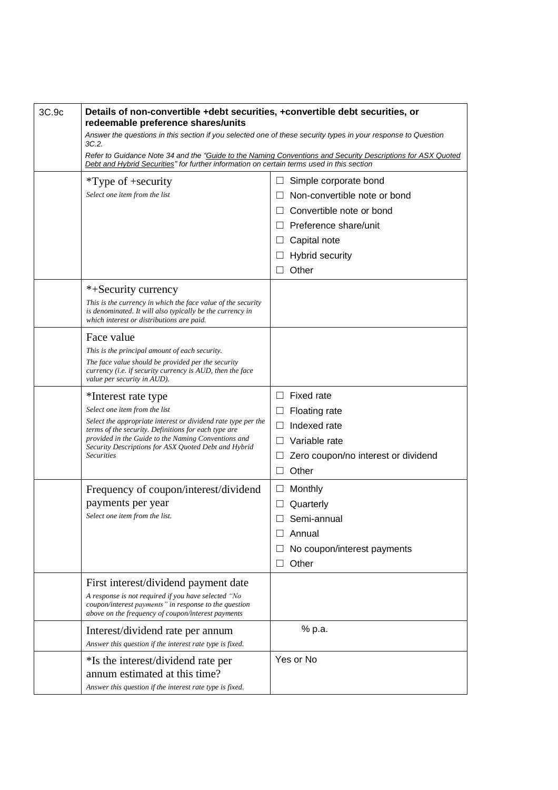| 3C.9c | Details of non-convertible +debt securities, +convertible debt securities, or<br>redeemable preference shares/units                                                    |                                                                                                                                                                                                          |  |  |
|-------|------------------------------------------------------------------------------------------------------------------------------------------------------------------------|----------------------------------------------------------------------------------------------------------------------------------------------------------------------------------------------------------|--|--|
|       | Answer the questions in this section if you selected one of these security types in your response to Question                                                          |                                                                                                                                                                                                          |  |  |
|       | 3C.2.                                                                                                                                                                  | Refer to Guidance Note 34 and the "Guide to the Naming Conventions and Security Descriptions for ASX Quoted<br>Debt and Hybrid Securities" for further information on certain terms used in this section |  |  |
|       | $*Type of + security$                                                                                                                                                  | Simple corporate bond<br>$\Box$                                                                                                                                                                          |  |  |
|       | Select one item from the list                                                                                                                                          | Non-convertible note or bond<br>$\Box$                                                                                                                                                                   |  |  |
|       |                                                                                                                                                                        | Convertible note or bond                                                                                                                                                                                 |  |  |
|       |                                                                                                                                                                        | Preference share/unit<br>$\Box$                                                                                                                                                                          |  |  |
|       |                                                                                                                                                                        | Capital note<br>$\Box$                                                                                                                                                                                   |  |  |
|       |                                                                                                                                                                        | <b>Hybrid security</b><br>$\Box$                                                                                                                                                                         |  |  |
|       |                                                                                                                                                                        | Other<br>$\Box$                                                                                                                                                                                          |  |  |
|       | *+Security currency                                                                                                                                                    |                                                                                                                                                                                                          |  |  |
|       | This is the currency in which the face value of the security<br>is denominated. It will also typically be the currency in<br>which interest or distributions are paid. |                                                                                                                                                                                                          |  |  |
|       | Face value                                                                                                                                                             |                                                                                                                                                                                                          |  |  |
|       | This is the principal amount of each security.                                                                                                                         |                                                                                                                                                                                                          |  |  |
|       | The face value should be provided per the security<br>currency ( <i>i.e.</i> if security currency is AUD, then the face<br>value per security in AUD).                 |                                                                                                                                                                                                          |  |  |
|       | *Interest rate type                                                                                                                                                    | $\Box$ Fixed rate                                                                                                                                                                                        |  |  |
|       | Select one item from the list                                                                                                                                          | Floating rate<br>$\Box$                                                                                                                                                                                  |  |  |
|       | Select the appropriate interest or dividend rate type per the<br>terms of the security. Definitions for each type are                                                  | Indexed rate<br>П                                                                                                                                                                                        |  |  |
|       | provided in the Guide to the Naming Conventions and<br>Security Descriptions for ASX Quoted Debt and Hybrid                                                            | Variable rate<br>$\vert \ \ \vert$                                                                                                                                                                       |  |  |
|       | <b>Securities</b>                                                                                                                                                      | Zero coupon/no interest or dividend<br>ப                                                                                                                                                                 |  |  |
|       |                                                                                                                                                                        | Other<br>П                                                                                                                                                                                               |  |  |
|       | Frequency of coupon/interest/dividend                                                                                                                                  | Monthly<br>$\Box$                                                                                                                                                                                        |  |  |
|       | payments per year                                                                                                                                                      | Quarterly<br>Ш                                                                                                                                                                                           |  |  |
|       | Select one item from the list.                                                                                                                                         | Semi-annual<br>П                                                                                                                                                                                         |  |  |
|       |                                                                                                                                                                        | Annual                                                                                                                                                                                                   |  |  |
|       |                                                                                                                                                                        | No coupon/interest payments                                                                                                                                                                              |  |  |
|       |                                                                                                                                                                        | Other<br>ப                                                                                                                                                                                               |  |  |
|       | First interest/dividend payment date                                                                                                                                   |                                                                                                                                                                                                          |  |  |
|       | A response is not required if you have selected "No<br>coupon/interest payments" in response to the question<br>above on the frequency of coupon/interest payments     |                                                                                                                                                                                                          |  |  |
|       | Interest/dividend rate per annum                                                                                                                                       | % p.a.                                                                                                                                                                                                   |  |  |
|       | Answer this question if the interest rate type is fixed.                                                                                                               |                                                                                                                                                                                                          |  |  |
|       | *Is the interest/dividend rate per<br>annum estimated at this time?<br>Answer this question if the interest rate type is fixed.                                        | Yes or No                                                                                                                                                                                                |  |  |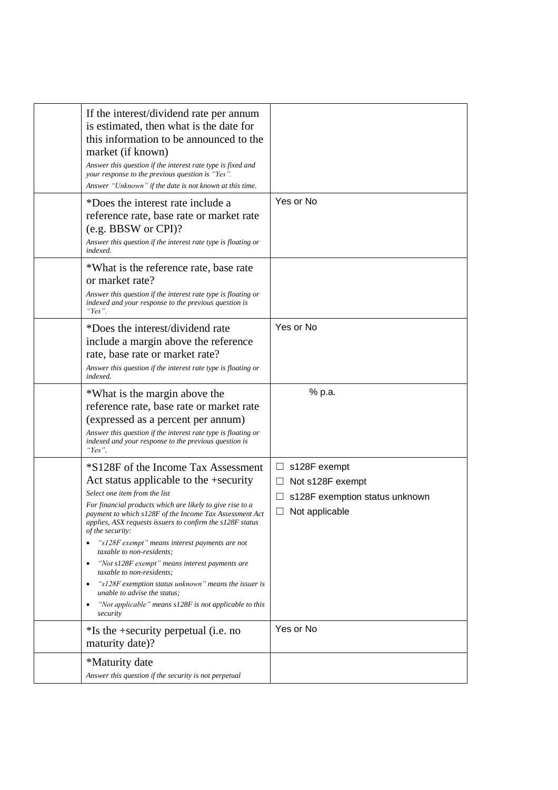| If the interest/dividend rate per annum<br>is estimated, then what is the date for<br>this information to be announced to the<br>market (if known)<br>Answer this question if the interest rate type is fixed and<br>your response to the previous question is "Yes".<br>Answer "Unknown" if the date is not known at this time.                                                                                                                                                                                                                                                                                                                                                |                                                                                                                         |
|---------------------------------------------------------------------------------------------------------------------------------------------------------------------------------------------------------------------------------------------------------------------------------------------------------------------------------------------------------------------------------------------------------------------------------------------------------------------------------------------------------------------------------------------------------------------------------------------------------------------------------------------------------------------------------|-------------------------------------------------------------------------------------------------------------------------|
| *Does the interest rate include a<br>reference rate, base rate or market rate<br>(e.g. BBSW or CPI)?<br>Answer this question if the interest rate type is floating or<br>indexed.                                                                                                                                                                                                                                                                                                                                                                                                                                                                                               | Yes or No                                                                                                               |
| *What is the reference rate, base rate<br>or market rate?<br>Answer this question if the interest rate type is floating or<br>indexed and your response to the previous question is<br>"Yes".                                                                                                                                                                                                                                                                                                                                                                                                                                                                                   |                                                                                                                         |
| *Does the interest/dividend rate<br>include a margin above the reference<br>rate, base rate or market rate?<br>Answer this question if the interest rate type is floating or<br>indexed.                                                                                                                                                                                                                                                                                                                                                                                                                                                                                        | Yes or No                                                                                                               |
| *What is the margin above the<br>reference rate, base rate or market rate<br>(expressed as a percent per annum)<br>Answer this question if the interest rate type is floating or<br>indexed and your response to the previous question is<br>"Yes".                                                                                                                                                                                                                                                                                                                                                                                                                             | % p.a.                                                                                                                  |
| *S128F of the Income Tax Assessment<br>Act status applicable to the +security<br>Select one item from the list<br>For financial products which are likely to give rise to a<br>payment to which s128F of the Income Tax Assessment Act<br>applies, ASX requests issuers to confirm the s128F status<br>of the security:<br>"s128F exempt" means interest payments are not<br>taxable to non-residents:<br>"Not s128F exempt" means interest payments are<br>$\bullet$<br>taxable to non-residents;<br>"s128F exemption status unknown" means the issuer is<br>$\bullet$<br>unable to advise the status;<br>"Not applicable" means $s128F$ is not applicable to this<br>security | s128F exempt<br>$\Box$<br>Not s128F exempt<br>$\Box$<br>s128F exemption status unknown<br>$\Box$<br>Not applicable<br>ப |
| $*$ Is the +security perpetual (i.e. no<br>maturity date)?                                                                                                                                                                                                                                                                                                                                                                                                                                                                                                                                                                                                                      | Yes or No                                                                                                               |
| *Maturity date<br>Answer this question if the security is not perpetual                                                                                                                                                                                                                                                                                                                                                                                                                                                                                                                                                                                                         |                                                                                                                         |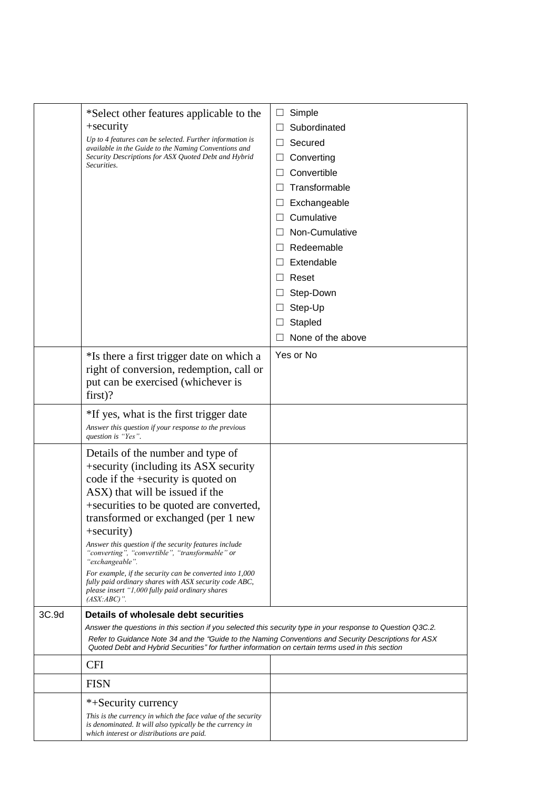|       | *Select other features applicable to the<br>+security<br>Up to 4 features can be selected. Further information is<br>available in the Guide to the Naming Conventions and<br>Security Descriptions for ASX Quoted Debt and Hybrid<br>Securities.                                                                                                                                                                                                                                                                                                                              | Simple<br>ш<br>Subordinated<br>$\Box$<br>Secured<br>$\Box$<br>Converting<br>ப<br>Convertible<br>Ш<br>Transformable<br>Exchangeable<br>⊔<br>Cumulative<br>$\perp$<br>Non-Cumulative<br>Redeemable<br>L<br>Extendable<br>$\Box$<br>Reset<br>$\perp$<br>Step-Down<br>L<br>Step-Up<br>$\Box$<br>Stapled<br>None of the above |
|-------|-------------------------------------------------------------------------------------------------------------------------------------------------------------------------------------------------------------------------------------------------------------------------------------------------------------------------------------------------------------------------------------------------------------------------------------------------------------------------------------------------------------------------------------------------------------------------------|--------------------------------------------------------------------------------------------------------------------------------------------------------------------------------------------------------------------------------------------------------------------------------------------------------------------------|
|       | *Is there a first trigger date on which a<br>right of conversion, redemption, call or<br>put can be exercised (whichever is<br>$first$ ?                                                                                                                                                                                                                                                                                                                                                                                                                                      | Yes or No                                                                                                                                                                                                                                                                                                                |
|       | *If yes, what is the first trigger date<br>Answer this question if your response to the previous<br>question is "Yes".                                                                                                                                                                                                                                                                                                                                                                                                                                                        |                                                                                                                                                                                                                                                                                                                          |
|       | Details of the number and type of<br>+security (including its ASX security<br>code if the +security is quoted on<br>ASX) that will be issued if the<br>+securities to be quoted are converted,<br>transformed or exchanged (per 1 new<br>+security)<br>Answer this question if the security features include<br>"converting", "convertible", "transformable" or<br>"exchangeable".<br>For example, if the security can be converted into 1,000<br>fully paid ordinary shares with ASX security code ABC,<br>please insert "1,000 fully paid ordinary shares<br>$(ASK:ABC)$ ". |                                                                                                                                                                                                                                                                                                                          |
| 3C.9d | Details of wholesale debt securities<br>Answer the questions in this section if you selected this security type in your response to Question Q3C.2.<br>Refer to Guidance Note 34 and the "Guide to the Naming Conventions and Security Descriptions for ASX<br>Quoted Debt and Hybrid Securities" for further information on certain terms used in this section                                                                                                                                                                                                               |                                                                                                                                                                                                                                                                                                                          |
|       | <b>CFI</b>                                                                                                                                                                                                                                                                                                                                                                                                                                                                                                                                                                    |                                                                                                                                                                                                                                                                                                                          |
|       | <b>FISN</b>                                                                                                                                                                                                                                                                                                                                                                                                                                                                                                                                                                   |                                                                                                                                                                                                                                                                                                                          |
|       | *+Security currency<br>This is the currency in which the face value of the security<br>is denominated. It will also typically be the currency in<br>which interest or distributions are paid.                                                                                                                                                                                                                                                                                                                                                                                 |                                                                                                                                                                                                                                                                                                                          |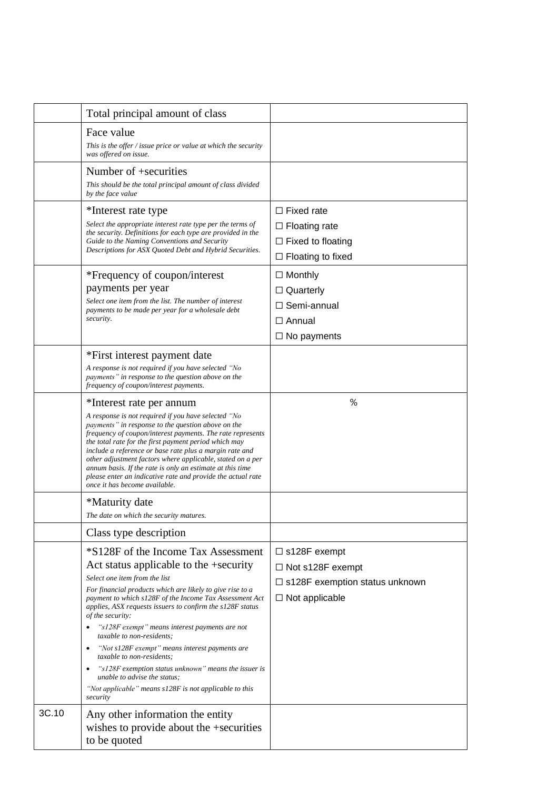|       | Total principal amount of class                                                                                                                                                                                                                                                                                                                                                                                                                                                                                                                    |                                                                                                                     |
|-------|----------------------------------------------------------------------------------------------------------------------------------------------------------------------------------------------------------------------------------------------------------------------------------------------------------------------------------------------------------------------------------------------------------------------------------------------------------------------------------------------------------------------------------------------------|---------------------------------------------------------------------------------------------------------------------|
|       | Face value<br>This is the offer $\ell$ issue price or value at which the security<br>was offered on issue.                                                                                                                                                                                                                                                                                                                                                                                                                                         |                                                                                                                     |
|       | Number of +securities<br>This should be the total principal amount of class divided<br>by the face value                                                                                                                                                                                                                                                                                                                                                                                                                                           |                                                                                                                     |
|       | *Interest rate type<br>Select the appropriate interest rate type per the terms of<br>the security. Definitions for each type are provided in the<br>Guide to the Naming Conventions and Security<br>Descriptions for ASX Quoted Debt and Hybrid Securities.<br>*Frequency of coupon/interest<br>payments per year                                                                                                                                                                                                                                  | $\Box$ Fixed rate<br>$\Box$ Floating rate<br>$\Box$ Fixed to floating<br>$\Box$ Floating to fixed<br>$\Box$ Monthly |
|       | Select one item from the list. The number of interest<br>payments to be made per year for a wholesale debt<br>security.                                                                                                                                                                                                                                                                                                                                                                                                                            | $\Box$ Quarterly<br>□ Semi-annual<br>$\Box$ Annual<br>$\Box$ No payments                                            |
|       | *First interest payment date<br>A response is not required if you have selected "No<br>payments" in response to the question above on the<br>frequency of coupon/interest payments.                                                                                                                                                                                                                                                                                                                                                                |                                                                                                                     |
|       | *Interest rate per annum<br>A response is not required if you have selected "No<br>payments" in response to the question above on the<br>frequency of coupon/interest payments. The rate represents<br>the total rate for the first payment period which may<br>include a reference or base rate plus a margin rate and<br>other adjustment factors where applicable, stated on a per<br>annum basis. If the rate is only an estimate at this time<br>please enter an indicative rate and provide the actual rate<br>once it has become available. | %                                                                                                                   |
|       | *Maturity date<br>The date on which the security matures.                                                                                                                                                                                                                                                                                                                                                                                                                                                                                          |                                                                                                                     |
|       | Class type description                                                                                                                                                                                                                                                                                                                                                                                                                                                                                                                             |                                                                                                                     |
|       | *S128F of the Income Tax Assessment<br>Act status applicable to the +security<br>Select one item from the list<br>For financial products which are likely to give rise to a<br>payment to which s128F of the Income Tax Assessment Act<br>applies, ASX requests issuers to confirm the s128F status<br>of the security:<br>"s128F exempt" means interest payments are not<br>٠                                                                                                                                                                     | $\Box$ s128F exempt<br>$\Box$ Not s128F exempt<br>$\Box$ s128F exemption status unknown<br>$\Box$ Not applicable    |
|       | taxable to non-residents;<br>"Not s128F exempt" means interest payments are<br>$\bullet$<br>taxable to non-residents;<br>"s128F exemption status unknown" means the issuer is<br>٠<br>unable to advise the status;<br>"Not applicable" means s128F is not applicable to this<br>security                                                                                                                                                                                                                                                           |                                                                                                                     |
| 3C.10 | Any other information the entity<br>wishes to provide about the +securities<br>to be quoted                                                                                                                                                                                                                                                                                                                                                                                                                                                        |                                                                                                                     |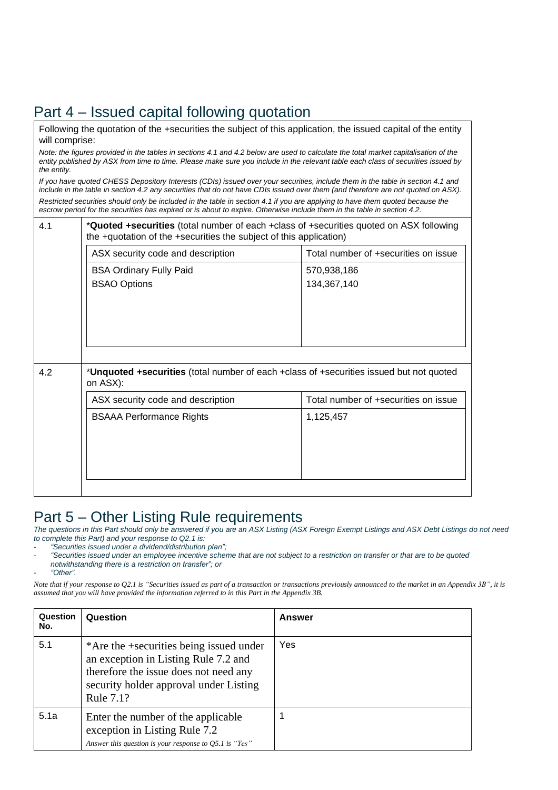## Part 4 – Issued capital following quotation

Following the quotation of the +securities the subject of this application, the issued capital of the entity will comprise:

Note: the figures provided in the tables in sections 4.1 and 4.2 below are used to calculate the total market capitalisation of the entity published by ASX from time to time. Please make sure you include in the relevant table each class of securities issued by *the entity.*

If you have quoted CHESS Depository Interests (CDIs) issued over your securities, include them in the table in section 4.1 and include in the table in section 4.2 any securities that do not have CDIs issued over them (and therefore are not quoted on ASX). Restricted securities should only be included in the table in section 4.1 if you are applying to have them quoted because the escrow period for the securities has expired or is about to expire. Otherwise include them in the table in section 4.2.

| * <b>Quoted +securities</b> (total number of each +class of +securities quoted on ASX following<br>the +quotation of the +securities the subject of this application) |                                                                                         |  |
|-----------------------------------------------------------------------------------------------------------------------------------------------------------------------|-----------------------------------------------------------------------------------------|--|
| ASX security code and description                                                                                                                                     | Total number of +securities on issue                                                    |  |
| <b>BSA Ordinary Fully Paid</b><br><b>BSAO Options</b>                                                                                                                 | 570,938,186<br>134,367,140                                                              |  |
| on ASX):                                                                                                                                                              | *Unquoted +securities (total number of each +class of +securities issued but not quoted |  |
| ASX security code and description                                                                                                                                     | Total number of +securities on issue                                                    |  |
| <b>BSAAA Performance Rights</b>                                                                                                                                       | 1,125,457                                                                               |  |
|                                                                                                                                                                       |                                                                                         |  |

#### Part 5 – Other Listing Rule requirements

The questions in this Part should only be answered if you are an ASX Listing (ASX Foreign Exempt Listings and ASX Debt Listings do not need *to complete this Part) and your response to Q2.1 is:*

- *"Securities issued under a dividend/distribution plan";*

- "Securities issued under an employee incentive scheme that are not subject to a restriction on transfer or that are to be quoted
- *notwithstanding there is a restriction on transfer"; or*

- *"Other".*

Note that if your response to Q2.1 is "Securities issued as part of a transaction or transactions previously announced to the market in an Appendix 3B", it is *assumed that you will have provided the information referred to in this Part in the Appendix 3B.*

| Question<br>No. | Question                                                                                                                                                                        | Answer |
|-----------------|---------------------------------------------------------------------------------------------------------------------------------------------------------------------------------|--------|
| 5.1             | *Are the +securities being issued under<br>an exception in Listing Rule 7.2 and<br>therefore the issue does not need any<br>security holder approval under Listing<br>Rule 7.1? | Yes    |
| 5.1a            | Enter the number of the applicable<br>exception in Listing Rule 7.2<br>Answer this question is your response to Q5.1 is "Yes"                                                   |        |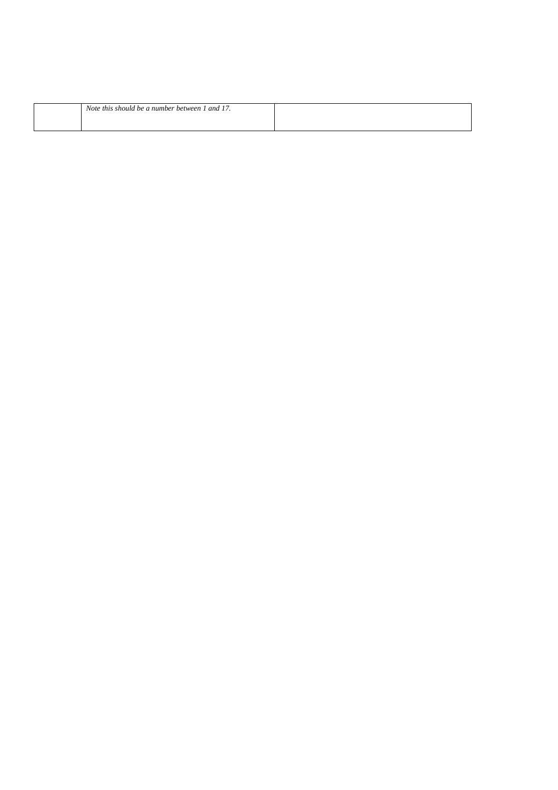| Note this should be a number between 1 and 17. |  |
|------------------------------------------------|--|
|                                                |  |
|                                                |  |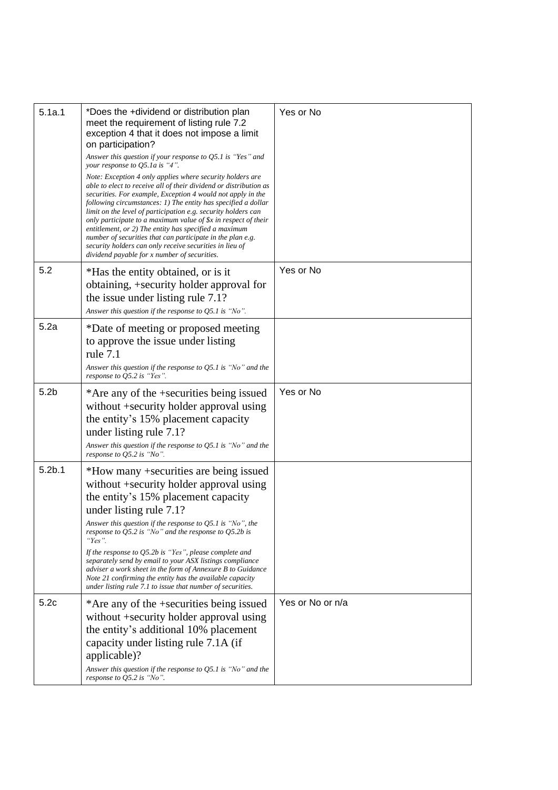| 5.1a.1             | *Does the +dividend or distribution plan<br>meet the requirement of listing rule 7.2<br>exception 4 that it does not impose a limit<br>on participation?<br>Answer this question if your response to Q5.1 is "Yes" and<br>your response to Q5.1a is "4".<br>Note: Exception 4 only applies where security holders are<br>able to elect to receive all of their dividend or distribution as<br>securities. For example, Exception 4 would not apply in the<br>following circumstances: 1) The entity has specified a dollar<br>limit on the level of participation e.g. security holders can<br>only participate to a maximum value of \$x in respect of their<br>entitlement, or 2) The entity has specified a maximum<br>number of securities that can participate in the plan e.g.<br>security holders can only receive securities in lieu of<br>dividend payable for x number of securities. | Yes or No        |
|--------------------|-------------------------------------------------------------------------------------------------------------------------------------------------------------------------------------------------------------------------------------------------------------------------------------------------------------------------------------------------------------------------------------------------------------------------------------------------------------------------------------------------------------------------------------------------------------------------------------------------------------------------------------------------------------------------------------------------------------------------------------------------------------------------------------------------------------------------------------------------------------------------------------------------|------------------|
| 5.2                | *Has the entity obtained, or is it<br>obtaining, +security holder approval for<br>the issue under listing rule 7.1?<br>Answer this question if the response to $Q5.1$ is "No".                                                                                                                                                                                                                                                                                                                                                                                                                                                                                                                                                                                                                                                                                                                  | Yes or No        |
| 5.2a               | *Date of meeting or proposed meeting<br>to approve the issue under listing<br>rule 7.1<br>Answer this question if the response to $Q5.1$ is "No" and the<br>response to Q5.2 is "Yes".                                                                                                                                                                                                                                                                                                                                                                                                                                                                                                                                                                                                                                                                                                          |                  |
| 5.2 <sub>b</sub>   | *Are any of the +securities being issued<br>without +security holder approval using<br>the entity's 15% placement capacity<br>under listing rule 7.1?<br>Answer this question if the response to $Q5.1$ is "No" and the<br>response to $Q5.2$ is "No".                                                                                                                                                                                                                                                                                                                                                                                                                                                                                                                                                                                                                                          | Yes or No        |
| 5.2 <sub>b.1</sub> | *How many +securities are being issued<br>without +security holder approval using<br>the entity's 15% placement capacity<br>under listing rule 7.1?<br>Answer this question if the response to $Q5.1$ is "No", the<br>response to $Q$ 5.2 is "No" and the response to $Q$ 5.2b is<br>"Yes".<br>If the response to Q5.2b is "Yes", please complete and<br>separately send by email to your ASX listings compliance<br>adviser a work sheet in the form of Annexure B to Guidance<br>Note 21 confirming the entity has the available capacity<br>under listing rule 7.1 to issue that number of securities.                                                                                                                                                                                                                                                                                       |                  |
| 5.2c               | *Are any of the +securities being issued<br>without +security holder approval using<br>the entity's additional 10% placement<br>capacity under listing rule 7.1A (if<br>applicable)?<br>Answer this question if the response to $Q5.1$ is "No" and the<br>response to $Q5.2$ is "No".                                                                                                                                                                                                                                                                                                                                                                                                                                                                                                                                                                                                           | Yes or No or n/a |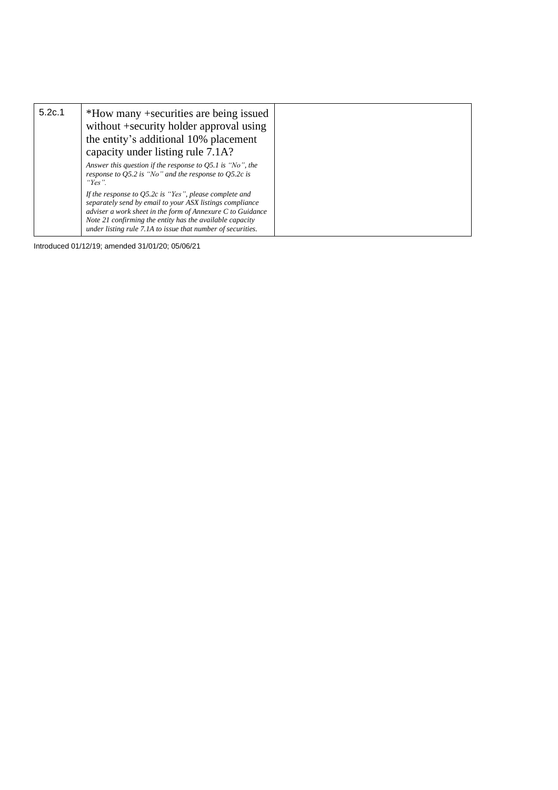| 5.2c.1 | *How many +securities are being issued<br>without +security holder approval using<br>the entity's additional 10% placement<br>capacity under listing rule 7.1A?                                                                                                                                                     |  |
|--------|---------------------------------------------------------------------------------------------------------------------------------------------------------------------------------------------------------------------------------------------------------------------------------------------------------------------|--|
|        | Answer this question if the response to $Q5.1$ is "No", the<br>response to $Q$ 5.2 is "No" and the response to $Q$ 5.2 $c$ is<br>"Yes".                                                                                                                                                                             |  |
|        | If the response to $Q$ 5.2 $c$ is "Yes", please complete and<br>separately send by email to your ASX listings compliance<br>adviser a work sheet in the form of Annexure $C$ to Guidance<br>Note 21 confirming the entity has the available capacity<br>under listing rule 7.1A to issue that number of securities. |  |

Introduced 01/12/19; amended 31/01/20; 05/06/21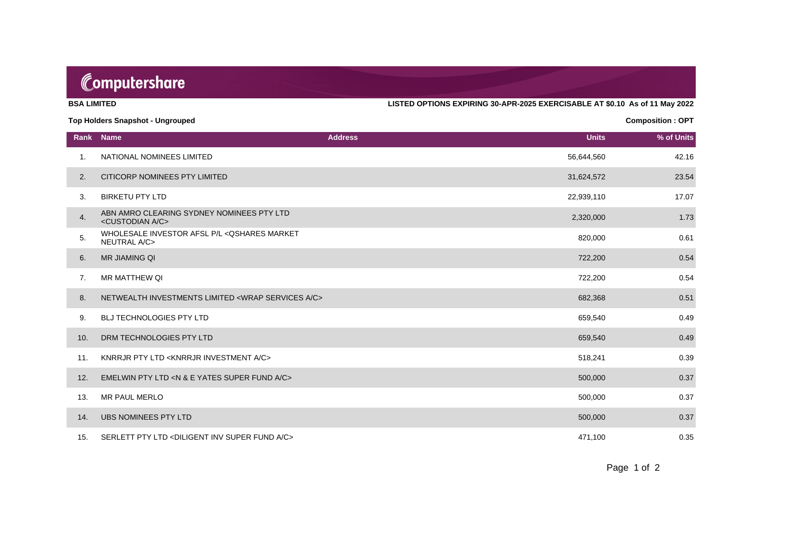## Computershare

**BSA LIMITED LISTED OPTIONS EXPIRING 30-APR-2025 EXERCISABLE AT \$0.10 As of 11 May 2022**

#### **Top Holders Snapshot - Ungrouped Composition : OPT**

**Rank Name Address Units % of Units** 1. NATIONAL NOMINEES LIMITED 42.16 2. CITICORP NOMINEES PTY LIMITED 23.54 3. BIRKETU PTY LTD 22,939,110 17.07 4. ABN AMRO CLEARING SYDNEY NOMINEES PTY LTD<br><CUSTODIAN A/C> ADIVANINO OLEANINO STENET NOMINEEST TTETE<br><CUSTODIAN A/C> 2,320,000 1.73 5. WHOLESALE INVESTOR AFSL P/L < QSHARES MARKET NEUTRAL A/C> 820,000 0.61 DET ALANGO MANNET TRANSPORT OF THE RELATIONSHIP OF THE BOOK OF THE BOOK OF THE BOOK O<br>NEUTRAL A/C> 6. MR JIAMING QI 6. MATSHI 2001 NASHA 2002 NASHA 2003 NASHA 2003 NASHA 2004 NASHA 2004 NASHA 2004 NASHA 2004 N 7. MR MATTHEW QI 6.54 NO.54 NO.54 NO.54 NO.54 NO.54 NO.54 NO.54 NO.54 NO.54 NO.54 NO.54 NO.54 NO.54 NO.54 NO.54 8. NETWEALTH INVESTMENTS LIMITED <WRAP SERVICES A/C> 682,368 0.51 eration of the Second Second Case of the Second Case of the Second Case of the Second Case of the Second Case of the Second Case of the Second Case of the Second Case of the Second Case of the Second Case of the Second Cas of the control of the control of the control of the control of the control of the control of the control of the control of the control of the control of the control of the control of the control of the control of the contr 11. KNRRJR PTY LTD <KNRRJR INVESTMENT A/C> 518,241 0.39 12. EMELWIN PTY LTD <N & E YATES SUPER FUND A/C> 500,000 0.37 13. MR PAUL MERLO 500,000 0.37 of the UBS NOMINEES PTY LTD 60.000 percent in the USA of the USA of the USA of the USA of the USA of the USA of the USA of the USA of the USA of the USA of the USA of the USA of the USA of the USA of the USA of the USA of 15. SERLETT PTY LTD <DILIGENT INV SUPER FUND A/C> 471,100 40.35

Page 1 of 2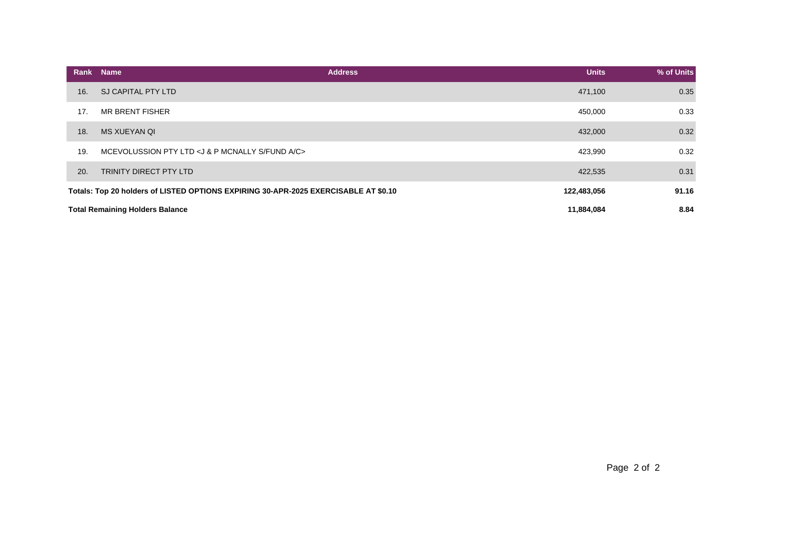|     | Rank Name                                                                           | <b>Units</b><br><b>Address</b> | % of Units |
|-----|-------------------------------------------------------------------------------------|--------------------------------|------------|
| 16. | SJ CAPITAL PTY LTD                                                                  | 471,100                        | 0.35       |
| 17. | <b>MR BRENT FISHER</b>                                                              | 450,000                        | 0.33       |
| 18. | <b>MS XUEYAN QI</b>                                                                 | 432,000                        | 0.32       |
| 19. | MCEVOLUSSION PTY LTD <j &="" a="" c="" fund="" mcnally="" p="" s=""></j>            | 423,990                        | 0.32       |
| 20. | TRINITY DIRECT PTY LTD                                                              | 422,535                        | 0.31       |
|     | Totals: Top 20 holders of LISTED OPTIONS EXPIRING 30-APR-2025 EXERCISABLE AT \$0.10 | 122,483,056                    | 91.16      |
|     | <b>Total Remaining Holders Balance</b>                                              | 11,884,084                     | 8.84       |